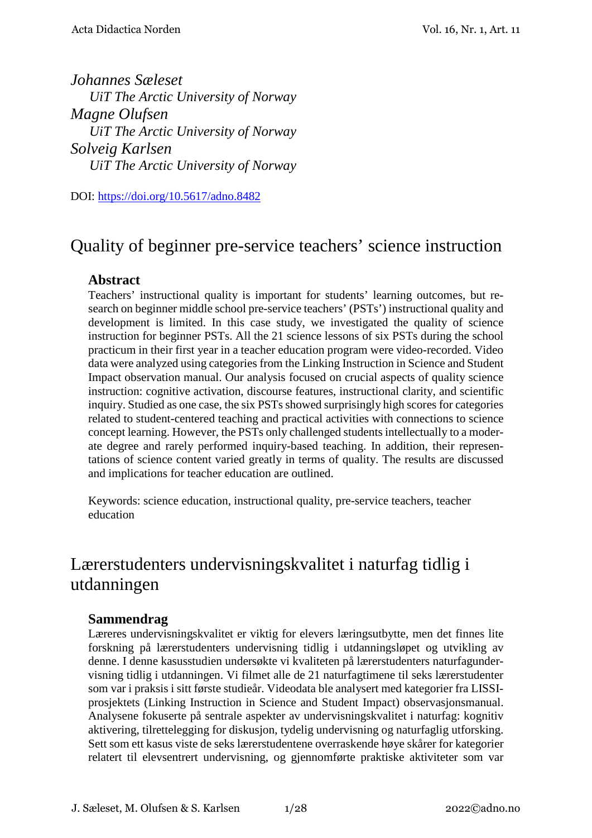*Johannes Sæleset UiT The Arctic University of Norway Magne Olufsen UiT The Arctic University of Norway Solveig Karlsen UiT The Arctic University of Norway*

DOI:<https://doi.org/10.5617/adno.8482>

# Quality of beginner pre-service teachers' science instruction

#### **Abstract**

Teachers' instructional quality is important for students' learning outcomes, but research on beginner middle school pre-service teachers' (PSTs') instructional quality and development is limited. In this case study, we investigated the quality of science instruction for beginner PSTs. All the 21 science lessons of six PSTs during the school practicum in their first year in a teacher education program were video-recorded. Video data were analyzed using categories from the Linking Instruction in Science and Student Impact observation manual. Our analysis focused on crucial aspects of quality science instruction: cognitive activation, discourse features, instructional clarity, and scientific inquiry. Studied as one case, the six PSTs showed surprisingly high scores for categories related to student-centered teaching and practical activities with connections to science concept learning. However, the PSTs only challenged students intellectually to a moderate degree and rarely performed inquiry-based teaching. In addition, their representations of science content varied greatly in terms of quality. The results are discussed and implications for teacher education are outlined.

Keywords: science education, instructional quality, pre-service teachers, teacher education

# Lærerstudenters undervisningskvalitet i naturfag tidlig i utdanningen

#### **Sammendrag**

Læreres undervisningskvalitet er viktig for elevers læringsutbytte, men det finnes lite forskning på lærerstudenters undervisning tidlig i utdanningsløpet og utvikling av denne. I denne kasusstudien undersøkte vi kvaliteten på lærerstudenters naturfagundervisning tidlig i utdanningen. Vi filmet alle de 21 naturfagtimene til seks lærerstudenter som var i praksis i sitt første studieår. Videodata ble analysert med kategorier fra LISSIprosjektets (Linking Instruction in Science and Student Impact) observasjonsmanual. Analysene fokuserte på sentrale aspekter av undervisningskvalitet i naturfag: kognitiv aktivering, tilrettelegging for diskusjon, tydelig undervisning og naturfaglig utforsking. Sett som ett kasus viste de seks lærerstudentene overraskende høye skårer for kategorier relatert til elevsentrert undervisning, og gjennomførte praktiske aktiviteter som var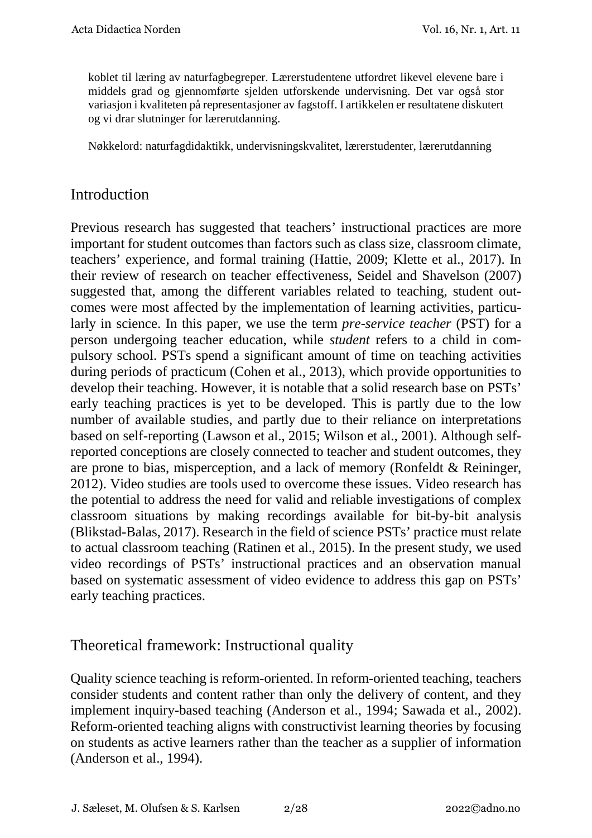koblet til læring av naturfagbegreper. Lærerstudentene utfordret likevel elevene bare i middels grad og gjennomførte sjelden utforskende undervisning. Det var også stor variasjon i kvaliteten på representasjoner av fagstoff. I artikkelen er resultatene diskutert og vi drar slutninger for lærerutdanning.

Nøkkelord: naturfagdidaktikk, undervisningskvalitet, lærerstudenter, lærerutdanning

## Introduction

Previous research has suggested that teachers' instructional practices are more important for student outcomes than factors such as class size, classroom climate, teachers' experience, and formal training (Hattie, 2009; Klette et al., 2017). In their review of research on teacher effectiveness, Seidel and Shavelson (2007) suggested that, among the different variables related to teaching, student outcomes were most affected by the implementation of learning activities, particularly in science. In this paper, we use the term *pre-service teacher* (PST) for a person undergoing teacher education, while *student* refers to a child in compulsory school. PSTs spend a significant amount of time on teaching activities during periods of practicum (Cohen et al., 2013), which provide opportunities to develop their teaching. However, it is notable that a solid research base on PSTs' early teaching practices is yet to be developed. This is partly due to the low number of available studies, and partly due to their reliance on interpretations based on self-reporting (Lawson et al., 2015; Wilson et al., 2001). Although selfreported conceptions are closely connected to teacher and student outcomes, they are prone to bias, misperception, and a lack of memory (Ronfeldt & Reininger, 2012). Video studies are tools used to overcome these issues. Video research has the potential to address the need for valid and reliable investigations of complex classroom situations by making recordings available for bit-by-bit analysis (Blikstad-Balas, 2017). Research in the field of science PSTs' practice must relate to actual classroom teaching (Ratinen et al., 2015). In the present study, we used video recordings of PSTs' instructional practices and an observation manual based on systematic assessment of video evidence to address this gap on PSTs' early teaching practices.

## Theoretical framework: Instructional quality

Quality science teaching is reform-oriented. In reform-oriented teaching, teachers consider students and content rather than only the delivery of content, and they implement inquiry-based teaching (Anderson et al., 1994; Sawada et al., 2002). Reform-oriented teaching aligns with constructivist learning theories by focusing on students as active learners rather than the teacher as a supplier of information (Anderson et al., 1994).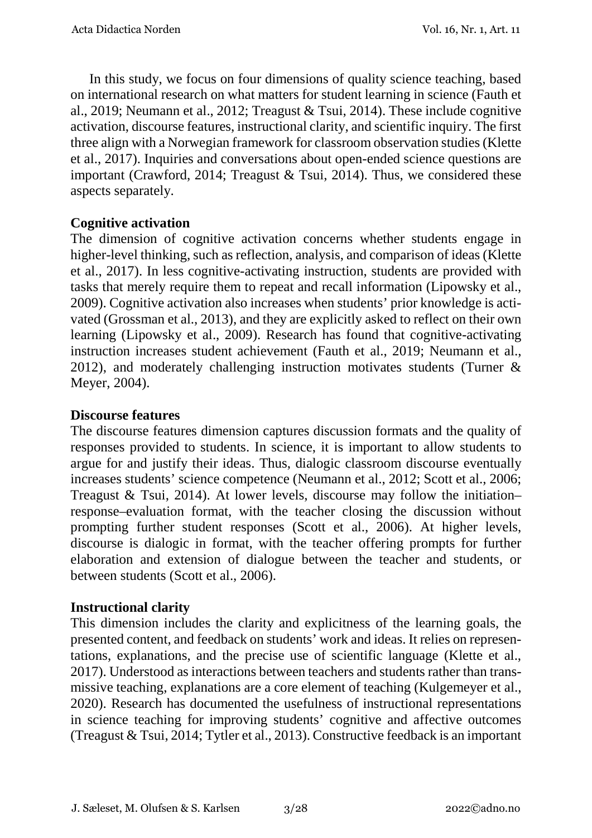In this study, we focus on four dimensions of quality science teaching, based on international research on what matters for student learning in science (Fauth et al., 2019; Neumann et al., 2012; Treagust & Tsui, 2014). These include cognitive activation, discourse features, instructional clarity, and scientific inquiry. The first three align with a Norwegian framework for classroom observation studies (Klette et al., 2017). Inquiries and conversations about open-ended science questions are important (Crawford, 2014; Treagust & Tsui, 2014). Thus, we considered these aspects separately.

### **Cognitive activation**

The dimension of cognitive activation concerns whether students engage in higher-level thinking, such as reflection, analysis, and comparison of ideas (Klette et al., 2017). In less cognitive-activating instruction, students are provided with tasks that merely require them to repeat and recall information (Lipowsky et al., 2009). Cognitive activation also increases when students' prior knowledge is activated (Grossman et al., 2013), and they are explicitly asked to reflect on their own learning (Lipowsky et al., 2009). Research has found that cognitive-activating instruction increases student achievement (Fauth et al., 2019; Neumann et al., 2012), and moderately challenging instruction motivates students (Turner & Meyer, 2004).

#### **Discourse features**

The discourse features dimension captures discussion formats and the quality of responses provided to students. In science, it is important to allow students to argue for and justify their ideas. Thus, dialogic classroom discourse eventually increases students' science competence (Neumann et al., 2012; Scott et al., 2006; Treagust & Tsui, 2014). At lower levels, discourse may follow the initiation– response–evaluation format, with the teacher closing the discussion without prompting further student responses (Scott et al., 2006). At higher levels, discourse is dialogic in format, with the teacher offering prompts for further elaboration and extension of dialogue between the teacher and students, or between students (Scott et al., 2006).

#### **Instructional clarity**

This dimension includes the clarity and explicitness of the learning goals, the presented content, and feedback on students' work and ideas. It relies on representations, explanations, and the precise use of scientific language (Klette et al., 2017). Understood as interactions between teachers and students rather than transmissive teaching, explanations are a core element of teaching (Kulgemeyer et al., 2020). Research has documented the usefulness of instructional representations in science teaching for improving students' cognitive and affective outcomes (Treagust & Tsui, 2014; Tytler et al., 2013). Constructive feedback is an important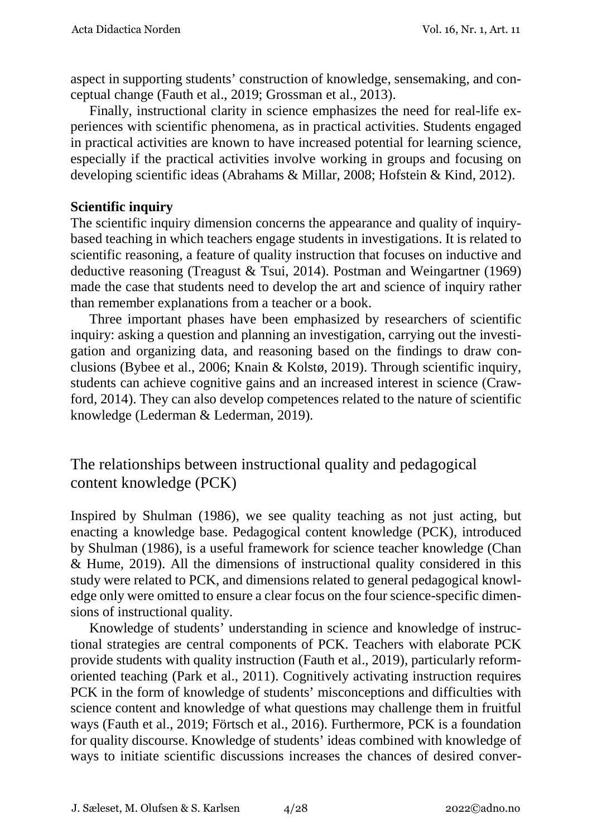aspect in supporting students' construction of knowledge, sensemaking, and conceptual change (Fauth et al., 2019; Grossman et al., 2013).

Finally, instructional clarity in science emphasizes the need for real-life experiences with scientific phenomena, as in practical activities. Students engaged in practical activities are known to have increased potential for learning science, especially if the practical activities involve working in groups and focusing on developing scientific ideas (Abrahams & Millar, 2008; Hofstein & Kind, 2012).

#### **Scientific inquiry**

The scientific inquiry dimension concerns the appearance and quality of inquirybased teaching in which teachers engage students in investigations. It is related to scientific reasoning, a feature of quality instruction that focuses on inductive and deductive reasoning (Treagust & Tsui, 2014). Postman and Weingartner (1969) made the case that students need to develop the art and science of inquiry rather than remember explanations from a teacher or a book.

Three important phases have been emphasized by researchers of scientific inquiry: asking a question and planning an investigation, carrying out the investigation and organizing data, and reasoning based on the findings to draw conclusions (Bybee et al., 2006; Knain & Kolstø, 2019). Through scientific inquiry, students can achieve cognitive gains and an increased interest in science (Crawford, 2014). They can also develop competences related to the nature of scientific knowledge (Lederman & Lederman, 2019).

The relationships between instructional quality and pedagogical content knowledge (PCK)

Inspired by Shulman (1986), we see quality teaching as not just acting, but enacting a knowledge base. Pedagogical content knowledge (PCK), introduced by Shulman (1986), is a useful framework for science teacher knowledge (Chan & Hume, 2019). All the dimensions of instructional quality considered in this study were related to PCK, and dimensions related to general pedagogical knowledge only were omitted to ensure a clear focus on the four science-specific dimensions of instructional quality.

Knowledge of students' understanding in science and knowledge of instructional strategies are central components of PCK. Teachers with elaborate PCK provide students with quality instruction (Fauth et al., 2019), particularly reformoriented teaching (Park et al., 2011). Cognitively activating instruction requires PCK in the form of knowledge of students' misconceptions and difficulties with science content and knowledge of what questions may challenge them in fruitful ways (Fauth et al., 2019; Förtsch et al., 2016). Furthermore, PCK is a foundation for quality discourse. Knowledge of students' ideas combined with knowledge of ways to initiate scientific discussions increases the chances of desired conver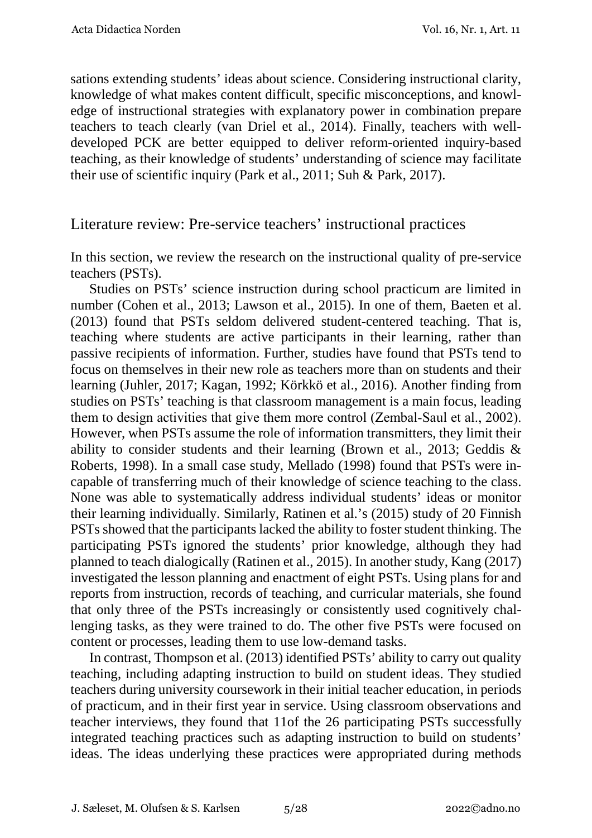sations extending students' ideas about science. Considering instructional clarity, knowledge of what makes content difficult, specific misconceptions, and knowledge of instructional strategies with explanatory power in combination prepare teachers to teach clearly (van Driel et al., 2014). Finally, teachers with welldeveloped PCK are better equipped to deliver reform-oriented inquiry-based teaching, as their knowledge of students' understanding of science may facilitate their use of scientific inquiry (Park et al., 2011; Suh & Park, 2017).

#### Literature review: Pre-service teachers' instructional practices

In this section, we review the research on the instructional quality of pre-service teachers (PSTs).

Studies on PSTs' science instruction during school practicum are limited in number (Cohen et al., 2013; Lawson et al., 2015). In one of them, Baeten et al. (2013) found that PSTs seldom delivered student-centered teaching. That is, teaching where students are active participants in their learning, rather than passive recipients of information. Further, studies have found that PSTs tend to focus on themselves in their new role as teachers more than on students and their learning (Juhler, 2017; Kagan, 1992; Körkkö et al., 2016). Another finding from studies on PSTs' teaching is that classroom management is a main focus, leading them to design activities that give them more control (Zembal‐Saul et al., 2002). However, when PSTs assume the role of information transmitters, they limit their ability to consider students and their learning (Brown et al., 2013; Geddis & Roberts, 1998). In a small case study, Mellado (1998) found that PSTs were incapable of transferring much of their knowledge of science teaching to the class. None was able to systematically address individual students' ideas or monitor their learning individually. Similarly, Ratinen et al.'s (2015) study of 20 Finnish PSTs showed that the participants lacked the ability to foster student thinking. The participating PSTs ignored the students' prior knowledge, although they had planned to teach dialogically (Ratinen et al., 2015). In another study, Kang (2017) investigated the lesson planning and enactment of eight PSTs. Using plans for and reports from instruction, records of teaching, and curricular materials, she found that only three of the PSTs increasingly or consistently used cognitively challenging tasks, as they were trained to do. The other five PSTs were focused on content or processes, leading them to use low-demand tasks.

In contrast, Thompson et al. (2013) identified PSTs' ability to carry out quality teaching, including adapting instruction to build on student ideas. They studied teachers during university coursework in their initial teacher education, in periods of practicum, and in their first year in service. Using classroom observations and teacher interviews, they found that 11of the 26 participating PSTs successfully integrated teaching practices such as adapting instruction to build on students' ideas. The ideas underlying these practices were appropriated during methods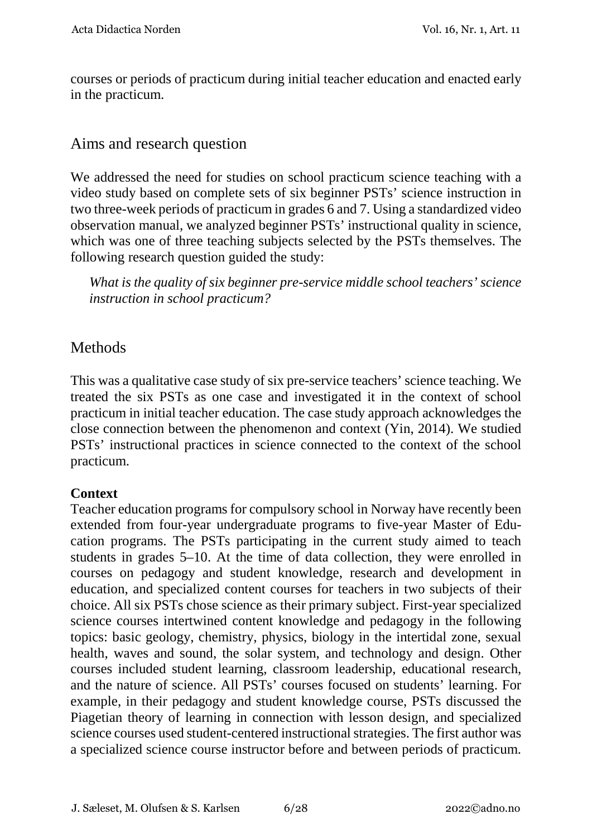courses or periods of practicum during initial teacher education and enacted early in the practicum.

## Aims and research question

We addressed the need for studies on school practicum science teaching with a video study based on complete sets of six beginner PSTs' science instruction in two three-week periods of practicum in grades 6 and 7. Using a standardized video observation manual, we analyzed beginner PSTs' instructional quality in science, which was one of three teaching subjects selected by the PSTs themselves. The following research question guided the study:

*What is the quality of six beginner pre-service middle school teachers' science instruction in school practicum?* 

## **Methods**

This was a qualitative case study of six pre-service teachers' science teaching. We treated the six PSTs as one case and investigated it in the context of school practicum in initial teacher education. The case study approach acknowledges the close connection between the phenomenon and context (Yin, 2014). We studied PSTs' instructional practices in science connected to the context of the school practicum.

#### **Context**

Teacher education programs for compulsory school in Norway have recently been extended from four-year undergraduate programs to five-year Master of Education programs. The PSTs participating in the current study aimed to teach students in grades 5–10. At the time of data collection, they were enrolled in courses on pedagogy and student knowledge, research and development in education, and specialized content courses for teachers in two subjects of their choice. All six PSTs chose science as their primary subject. First-year specialized science courses intertwined content knowledge and pedagogy in the following topics: basic geology, chemistry, physics, biology in the intertidal zone, sexual health, waves and sound, the solar system, and technology and design. Other courses included student learning, classroom leadership, educational research, and the nature of science. All PSTs' courses focused on students' learning. For example, in their pedagogy and student knowledge course, PSTs discussed the Piagetian theory of learning in connection with lesson design, and specialized science courses used student-centered instructional strategies. The first author was a specialized science course instructor before and between periods of practicum.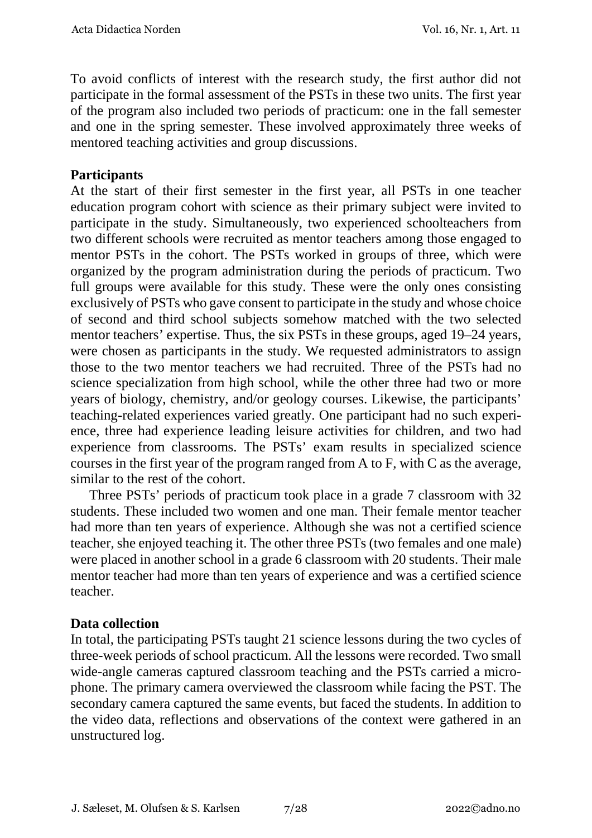To avoid conflicts of interest with the research study, the first author did not participate in the formal assessment of the PSTs in these two units. The first year of the program also included two periods of practicum: one in the fall semester and one in the spring semester. These involved approximately three weeks of mentored teaching activities and group discussions.

#### **Participants**

At the start of their first semester in the first year, all PSTs in one teacher education program cohort with science as their primary subject were invited to participate in the study. Simultaneously, two experienced schoolteachers from two different schools were recruited as mentor teachers among those engaged to mentor PSTs in the cohort. The PSTs worked in groups of three, which were organized by the program administration during the periods of practicum. Two full groups were available for this study. These were the only ones consisting exclusively of PSTs who gave consent to participate in the study and whose choice of second and third school subjects somehow matched with the two selected mentor teachers' expertise. Thus, the six PSTs in these groups, aged 19–24 years, were chosen as participants in the study. We requested administrators to assign those to the two mentor teachers we had recruited. Three of the PSTs had no science specialization from high school, while the other three had two or more years of biology, chemistry, and/or geology courses. Likewise, the participants' teaching-related experiences varied greatly. One participant had no such experience, three had experience leading leisure activities for children, and two had experience from classrooms. The PSTs' exam results in specialized science courses in the first year of the program ranged from A to F, with C as the average, similar to the rest of the cohort.

Three PSTs' periods of practicum took place in a grade 7 classroom with 32 students. These included two women and one man. Their female mentor teacher had more than ten years of experience. Although she was not a certified science teacher, she enjoyed teaching it. The other three PSTs (two females and one male) were placed in another school in a grade 6 classroom with 20 students. Their male mentor teacher had more than ten years of experience and was a certified science teacher.

#### **Data collection**

In total, the participating PSTs taught 21 science lessons during the two cycles of three-week periods of school practicum. All the lessons were recorded. Two small wide-angle cameras captured classroom teaching and the PSTs carried a microphone. The primary camera overviewed the classroom while facing the PST. The secondary camera captured the same events, but faced the students. In addition to the video data, reflections and observations of the context were gathered in an unstructured log.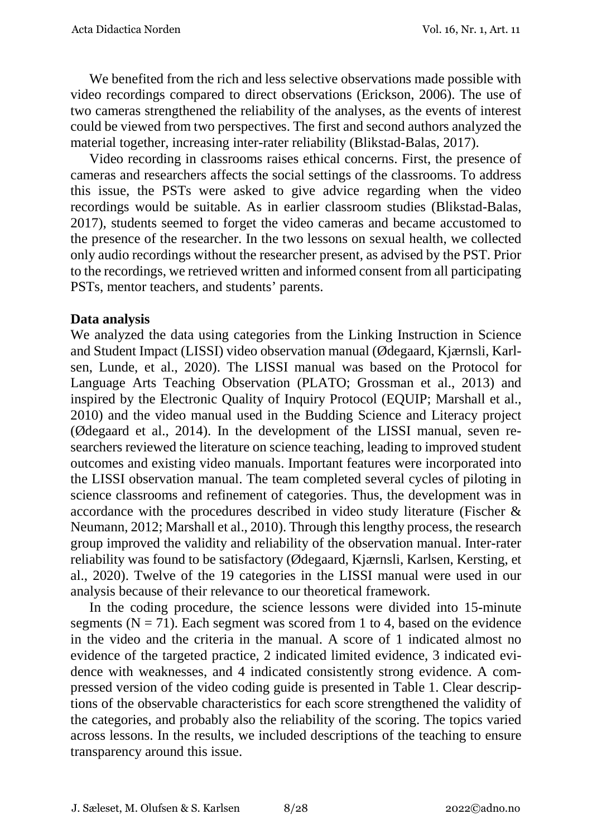We benefited from the rich and less selective observations made possible with video recordings compared to direct observations (Erickson, 2006). The use of two cameras strengthened the reliability of the analyses, as the events of interest could be viewed from two perspectives. The first and second authors analyzed the material together, increasing inter-rater reliability (Blikstad-Balas, 2017).

Video recording in classrooms raises ethical concerns. First, the presence of cameras and researchers affects the social settings of the classrooms. To address this issue, the PSTs were asked to give advice regarding when the video recordings would be suitable. As in earlier classroom studies (Blikstad-Balas, 2017), students seemed to forget the video cameras and became accustomed to the presence of the researcher. In the two lessons on sexual health, we collected only audio recordings without the researcher present, as advised by the PST. Prior to the recordings, we retrieved written and informed consent from all participating PSTs, mentor teachers, and students' parents.

#### **Data analysis**

We analyzed the data using categories from the Linking Instruction in Science and Student Impact (LISSI) video observation manual (Ødegaard, Kjærnsli, Karlsen, Lunde, et al., 2020). The LISSI manual was based on the Protocol for Language Arts Teaching Observation (PLATO; Grossman et al., 2013) and inspired by the Electronic Quality of Inquiry Protocol (EQUIP; Marshall et al., 2010) and the video manual used in the Budding Science and Literacy project (Ødegaard et al., 2014). In the development of the LISSI manual, seven researchers reviewed the literature on science teaching, leading to improved student outcomes and existing video manuals. Important features were incorporated into the LISSI observation manual. The team completed several cycles of piloting in science classrooms and refinement of categories. Thus, the development was in accordance with the procedures described in video study literature (Fischer & Neumann, 2012; Marshall et al., 2010). Through this lengthy process, the research group improved the validity and reliability of the observation manual. Inter-rater reliability was found to be satisfactory (Ødegaard, Kjærnsli, Karlsen, Kersting, et al., 2020). Twelve of the 19 categories in the LISSI manual were used in our analysis because of their relevance to our theoretical framework.

In the coding procedure, the science lessons were divided into 15-minute segments ( $N = 71$ ). Each segment was scored from 1 to 4, based on the evidence in the video and the criteria in the manual. A score of 1 indicated almost no evidence of the targeted practice, 2 indicated limited evidence, 3 indicated evidence with weaknesses, and 4 indicated consistently strong evidence. A compressed version of the video coding guide is presented in Table 1. Clear descriptions of the observable characteristics for each score strengthened the validity of the categories, and probably also the reliability of the scoring. The topics varied across lessons. In the results, we included descriptions of the teaching to ensure transparency around this issue.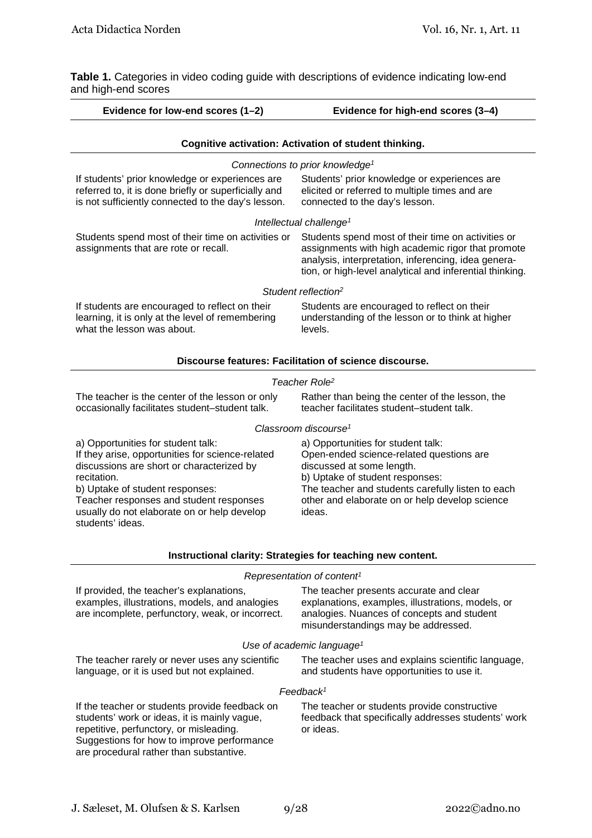**Table 1.** Categories in video coding guide with descriptions of evidence indicating low-end and high-end scores

| Evidence for low-end scores (1-2)                                                                                                                                                                                                                                                                   | Evidence for high-end scores (3-4)                                                                                                                                                                                                                              |  |  |  |
|-----------------------------------------------------------------------------------------------------------------------------------------------------------------------------------------------------------------------------------------------------------------------------------------------------|-----------------------------------------------------------------------------------------------------------------------------------------------------------------------------------------------------------------------------------------------------------------|--|--|--|
|                                                                                                                                                                                                                                                                                                     | Cognitive activation: Activation of student thinking.                                                                                                                                                                                                           |  |  |  |
|                                                                                                                                                                                                                                                                                                     | Connections to prior knowledge <sup>1</sup>                                                                                                                                                                                                                     |  |  |  |
| If students' prior knowledge or experiences are<br>referred to, it is done briefly or superficially and<br>is not sufficiently connected to the day's lesson.                                                                                                                                       | Students' prior knowledge or experiences are<br>elicited or referred to multiple times and are<br>connected to the day's lesson.                                                                                                                                |  |  |  |
|                                                                                                                                                                                                                                                                                                     | Intellectual challenge <sup>1</sup>                                                                                                                                                                                                                             |  |  |  |
| Students spend most of their time on activities or<br>assignments that are rote or recall.                                                                                                                                                                                                          | Students spend most of their time on activities or<br>assignments with high academic rigor that promote<br>analysis, interpretation, inferencing, idea genera-<br>tion, or high-level analytical and inferential thinking.                                      |  |  |  |
|                                                                                                                                                                                                                                                                                                     | Student reflection <sup>2</sup>                                                                                                                                                                                                                                 |  |  |  |
| If students are encouraged to reflect on their<br>learning, it is only at the level of remembering<br>what the lesson was about.                                                                                                                                                                    | Students are encouraged to reflect on their<br>understanding of the lesson or to think at higher<br>levels.                                                                                                                                                     |  |  |  |
|                                                                                                                                                                                                                                                                                                     | Discourse features: Facilitation of science discourse.                                                                                                                                                                                                          |  |  |  |
|                                                                                                                                                                                                                                                                                                     | Teacher Role <sup>2</sup>                                                                                                                                                                                                                                       |  |  |  |
| The teacher is the center of the lesson or only<br>occasionally facilitates student-student talk.                                                                                                                                                                                                   | Rather than being the center of the lesson, the<br>teacher facilitates student-student talk.                                                                                                                                                                    |  |  |  |
|                                                                                                                                                                                                                                                                                                     | Classroom discourse <sup>1</sup>                                                                                                                                                                                                                                |  |  |  |
| a) Opportunities for student talk:<br>If they arise, opportunities for science-related<br>discussions are short or characterized by<br>recitation.<br>b) Uptake of student responses:<br>Teacher responses and student responses<br>usually do not elaborate on or help develop<br>students' ideas. | a) Opportunities for student talk:<br>Open-ended science-related questions are<br>discussed at some length.<br>b) Uptake of student responses:<br>The teacher and students carefully listen to each<br>other and elaborate on or help develop science<br>ideas. |  |  |  |
|                                                                                                                                                                                                                                                                                                     | Instructional clarity: Strategies for teaching new content.                                                                                                                                                                                                     |  |  |  |
|                                                                                                                                                                                                                                                                                                     | Representation of content <sup>1</sup>                                                                                                                                                                                                                          |  |  |  |
| If provided, the teacher's explanations,<br>examples, illustrations, models, and analogies<br>are incomplete, perfunctory, weak, or incorrect.                                                                                                                                                      | The teacher presents accurate and clear<br>explanations, examples, illustrations, models, or<br>analogies. Nuances of concepts and student<br>misunderstandings may be addressed.                                                                               |  |  |  |
| Use of academic language <sup>1</sup>                                                                                                                                                                                                                                                               |                                                                                                                                                                                                                                                                 |  |  |  |
| The teacher rarely or never uses any scientific<br>language, or it is used but not explained.                                                                                                                                                                                                       | The teacher uses and explains scientific language,<br>and students have opportunities to use it.                                                                                                                                                                |  |  |  |
|                                                                                                                                                                                                                                                                                                     | Feedback <sup>1</sup>                                                                                                                                                                                                                                           |  |  |  |
| If the teacher or students provide feedback on<br>students' work or ideas, it is mainly vague,<br>repetitive, perfunctory, or misleading.<br>Suggestions for how to improve performance<br>are procedural rather than substantive.                                                                  | The teacher or students provide constructive<br>feedback that specifically addresses students' work<br>or ideas.                                                                                                                                                |  |  |  |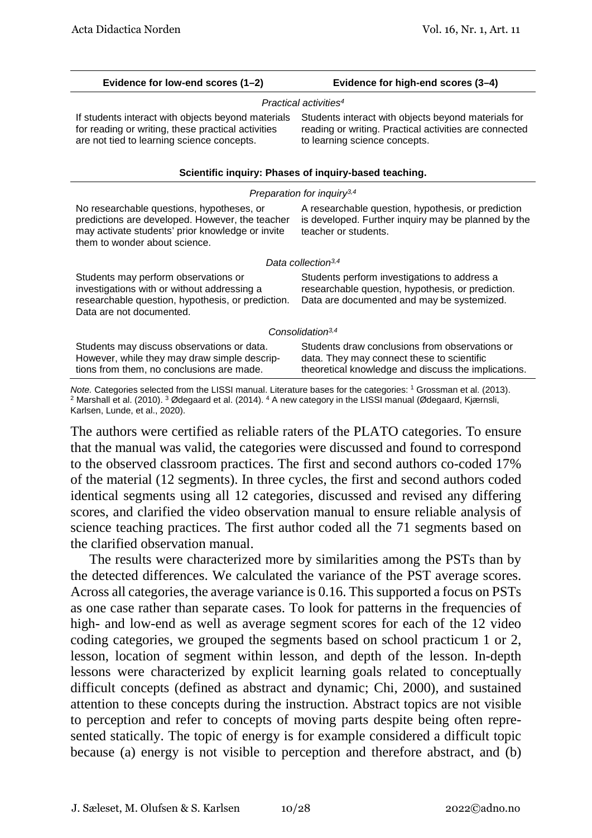| Evidence for low-end scores (1-2)                                                                                                                                                 | Evidence for high-end scores (3-4)                                                                                                                  |  |  |  |  |
|-----------------------------------------------------------------------------------------------------------------------------------------------------------------------------------|-----------------------------------------------------------------------------------------------------------------------------------------------------|--|--|--|--|
| Practical activities <sup>4</sup>                                                                                                                                                 |                                                                                                                                                     |  |  |  |  |
| If students interact with objects beyond materials<br>for reading or writing, these practical activities<br>are not tied to learning science concepts.                            | Students interact with objects beyond materials for<br>reading or writing. Practical activities are connected<br>to learning science concepts.      |  |  |  |  |
|                                                                                                                                                                                   | Scientific inquiry: Phases of inquiry-based teaching.                                                                                               |  |  |  |  |
|                                                                                                                                                                                   | Preparation for inquiry <sup>3,4</sup>                                                                                                              |  |  |  |  |
| No researchable questions, hypotheses, or<br>predictions are developed. However, the teacher<br>may activate students' prior knowledge or invite<br>them to wonder about science. | A researchable question, hypothesis, or prediction<br>is developed. Further inquiry may be planned by the<br>teacher or students.                   |  |  |  |  |
|                                                                                                                                                                                   | Data collection <sup>3,4</sup>                                                                                                                      |  |  |  |  |
| Students may perform observations or<br>investigations with or without addressing a<br>researchable question, hypothesis, or prediction.<br>Data are not documented.              | Students perform investigations to address a<br>researchable question, hypothesis, or prediction.<br>Data are documented and may be systemized.     |  |  |  |  |
| Consolidation <sup>3,4</sup>                                                                                                                                                      |                                                                                                                                                     |  |  |  |  |
| Students may discuss observations or data.<br>However, while they may draw simple descrip-<br>tions from them, no conclusions are made.                                           | Students draw conclusions from observations or<br>data. They may connect these to scientific<br>theoretical knowledge and discuss the implications. |  |  |  |  |
| Note Categoriac selected from the LISSI manual Literature bases for the categorias: 1 Crossman et al. (2013)                                                                      |                                                                                                                                                     |  |  |  |  |

<sup>2</sup> Marshall et al. (2010). <sup>3</sup> Ødegaard et al. (2014). <sup>4</sup> A new category in the LISSI manual (Ødegaard, Kjærnsli, Karlsen, Lunde, et al., 2020).

The authors were certified as reliable raters of the PLATO categories. To ensure that the manual was valid, the categories were discussed and found to correspond to the observed classroom practices. The first and second authors co-coded 17% of the material (12 segments). In three cycles, the first and second authors coded identical segments using all 12 categories, discussed and revised any differing scores, and clarified the video observation manual to ensure reliable analysis of science teaching practices. The first author coded all the 71 segments based on the clarified observation manual.

The results were characterized more by similarities among the PSTs than by the detected differences. We calculated the variance of the PST average scores. Across all categories, the average variance is 0.16. This supported a focus on PSTs as one case rather than separate cases. To look for patterns in the frequencies of high- and low-end as well as average segment scores for each of the 12 video coding categories, we grouped the segments based on school practicum 1 or 2, lesson, location of segment within lesson, and depth of the lesson. In-depth lessons were characterized by explicit learning goals related to conceptually difficult concepts (defined as abstract and dynamic; Chi, 2000), and sustained attention to these concepts during the instruction. Abstract topics are not visible to perception and refer to concepts of moving parts despite being often represented statically. The topic of energy is for example considered a difficult topic because (a) energy is not visible to perception and therefore abstract, and (b)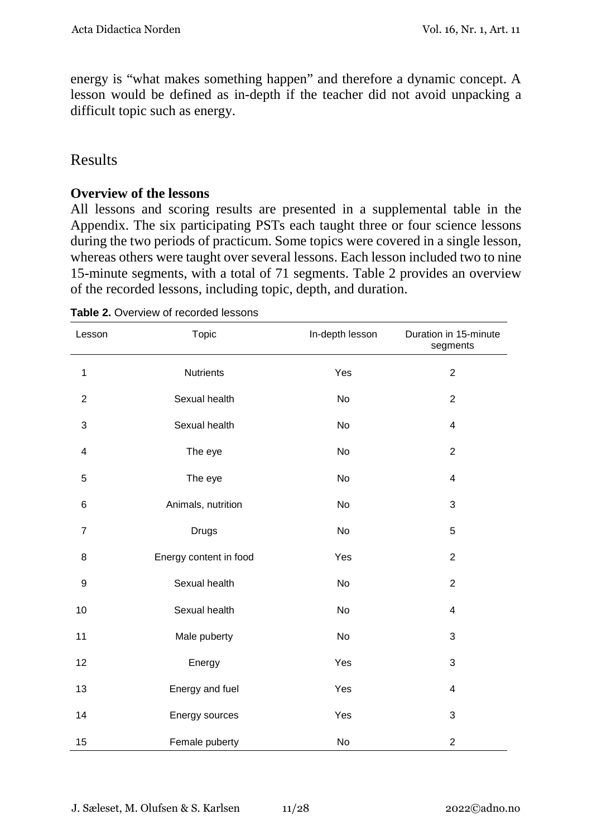energy is "what makes something happen" and therefore a dynamic concept. A lesson would be defined as in-depth if the teacher did not avoid unpacking a difficult topic such as energy.

### Results

#### **Overview of the lessons**

All lessons and scoring results are presented in a supplemental table in the Appendix. The six participating PSTs each taught three or four science lessons during the two periods of practicum. Some topics were covered in a single lesson, whereas others were taught over several lessons. Each lesson included two to nine 15-minute segments, with a total of 71 segments. Table 2 provides an overview of the recorded lessons, including topic, depth, and duration.

| Lesson           | Topic                  | In-depth lesson | Duration in 15-minute<br>segments |
|------------------|------------------------|-----------------|-----------------------------------|
| $\mathbf{1}$     | <b>Nutrients</b>       | Yes             | $\overline{2}$                    |
| $\sqrt{2}$       | Sexual health          | No              | $\overline{2}$                    |
| $\mathbf{3}$     | Sexual health          | <b>No</b>       | 4                                 |
| 4                | The eye                | No              | $\overline{2}$                    |
| 5                | The eye                | No              | 4                                 |
| 6                | Animals, nutrition     | No              | $\sqrt{3}$                        |
| $\overline{7}$   | <b>Drugs</b>           | No              | 5                                 |
| 8                | Energy content in food | Yes             | $\overline{2}$                    |
| $\boldsymbol{9}$ | Sexual health          | No              | $\overline{2}$                    |
| 10               | Sexual health          | No              | $\overline{\mathcal{A}}$          |
| 11               | Male puberty           | No              | 3                                 |
| 12               | Energy                 | Yes             | 3                                 |
| 13               | Energy and fuel        | Yes             | $\overline{4}$                    |
| 14               | Energy sources         | Yes             | 3                                 |
| 15               | Female puberty         | No              | $\overline{c}$                    |

**Table 2.** Overview of recorded lessons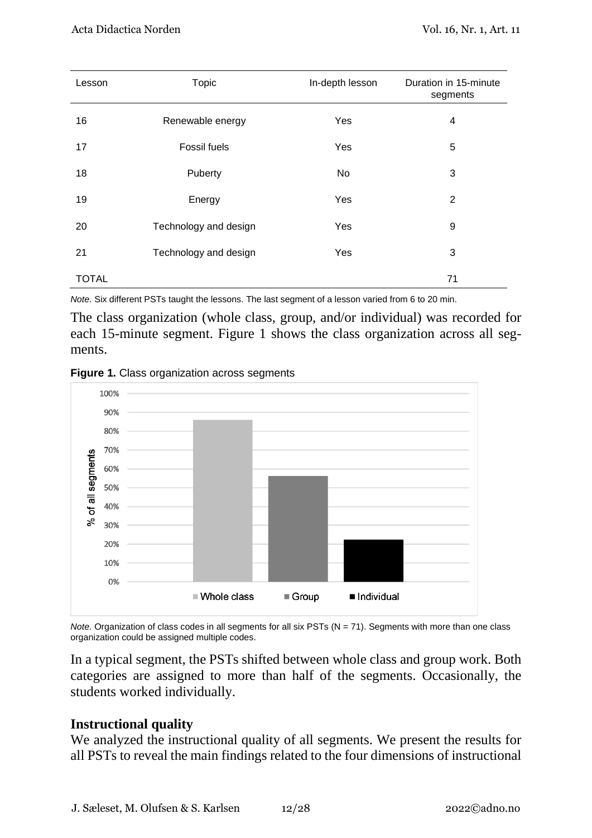| Lesson       | <b>Topic</b>          | In-depth lesson | Duration in 15-minute<br>segments |
|--------------|-----------------------|-----------------|-----------------------------------|
| 16           | Renewable energy      | Yes             | 4                                 |
| 17           | <b>Fossil fuels</b>   | Yes             | 5                                 |
| 18           | Puberty               | No              | 3                                 |
| 19           | Energy                | Yes             | 2                                 |
| 20           | Technology and design | Yes             | 9                                 |
| 21           | Technology and design | Yes             | 3                                 |
| <b>TOTAL</b> |                       |                 | 71                                |

*Note.* Six different PSTs taught the lessons. The last segment of a lesson varied from 6 to 20 min.

The class organization (whole class, group, and/or individual) was recorded for each 15-minute segment. Figure 1 shows the class organization across all segments.





*Note.* Organization of class codes in all segments for all six PSTs (N = 71). Segments with more than one class organization could be assigned multiple codes.

In a typical segment, the PSTs shifted between whole class and group work. Both categories are assigned to more than half of the segments. Occasionally, the students worked individually.

#### **Instructional quality**

We analyzed the instructional quality of all segments. We present the results for all PSTs to reveal the main findings related to the four dimensions of instructional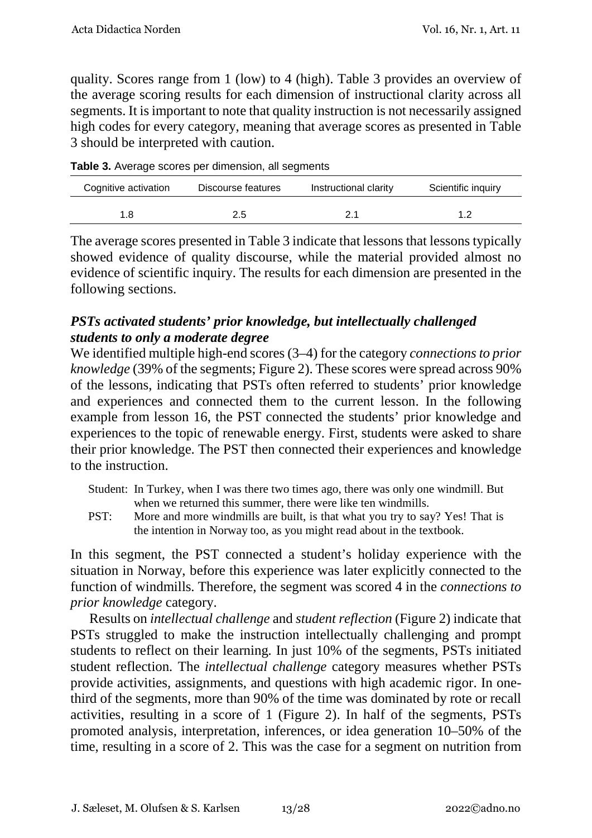quality. Scores range from 1 (low) to 4 (high). Table 3 provides an overview of the average scoring results for each dimension of instructional clarity across all segments. It is important to note that quality instruction is not necessarily assigned high codes for every category, meaning that average scores as presented in Table 3 should be interpreted with caution.

**Table 3.** Average scores per dimension, all segments

| Cognitive activation | Discourse features |    | Scientific inquiry |  |
|----------------------|--------------------|----|--------------------|--|
| 1.8                  | 2.5                | 21 |                    |  |

The average scores presented in Table 3 indicate that lessons that lessons typically showed evidence of quality discourse, while the material provided almost no evidence of scientific inquiry. The results for each dimension are presented in the following sections.

#### *PSTs activated students' prior knowledge, but intellectually challenged students to only a moderate degree*

We identified multiple high-end scores (3–4) for the category *connections to prior knowledge* (39% of the segments; Figure 2). These scores were spread across 90% of the lessons, indicating that PSTs often referred to students' prior knowledge and experiences and connected them to the current lesson. In the following example from lesson 16, the PST connected the students' prior knowledge and experiences to the topic of renewable energy. First, students were asked to share their prior knowledge. The PST then connected their experiences and knowledge to the instruction.

- Student: In Turkey, when I was there two times ago, there was only one windmill. But when we returned this summer, there were like ten windmills.
- PST: More and more windmills are built, is that what you try to say? Yes! That is the intention in Norway too, as you might read about in the textbook.

In this segment, the PST connected a student's holiday experience with the situation in Norway, before this experience was later explicitly connected to the function of windmills. Therefore, the segment was scored 4 in the *connections to prior knowledge* category.

Results on *intellectual challenge* and *student reflection* (Figure 2) indicate that PSTs struggled to make the instruction intellectually challenging and prompt students to reflect on their learning*.* In just 10% of the segments, PSTs initiated student reflection*.* The *intellectual challenge* category measures whether PSTs provide activities, assignments, and questions with high academic rigor. In onethird of the segments, more than 90% of the time was dominated by rote or recall activities, resulting in a score of 1 (Figure 2). In half of the segments, PSTs promoted analysis, interpretation, inferences, or idea generation 10–50% of the time, resulting in a score of 2. This was the case for a segment on nutrition from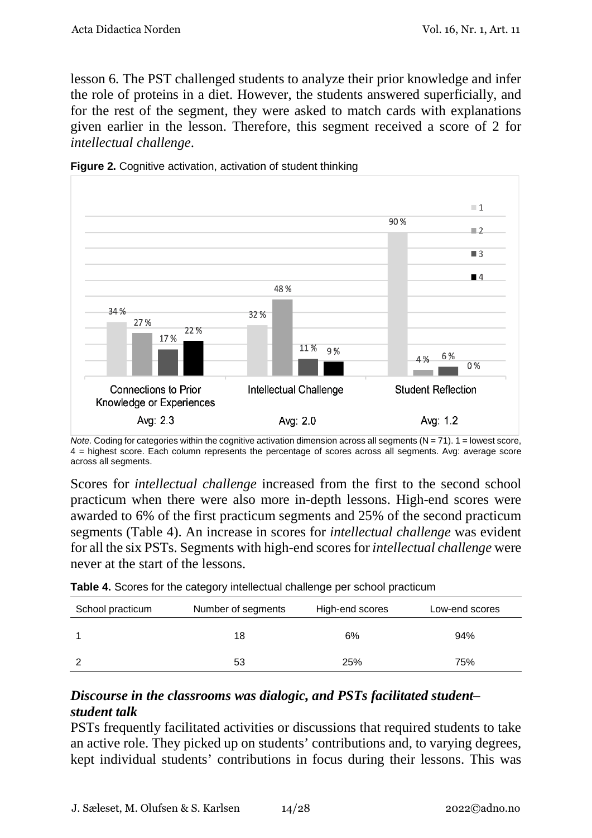lesson 6*.* The PST challenged students to analyze their prior knowledge and infer the role of proteins in a diet. However, the students answered superficially, and for the rest of the segment, they were asked to match cards with explanations given earlier in the lesson. Therefore, this segment received a score of 2 for *intellectual challenge*.



**Figure 2.** Cognitive activation, activation of student thinking

Scores for *intellectual challenge* increased from the first to the second school practicum when there were also more in-depth lessons. High-end scores were awarded to 6% of the first practicum segments and 25% of the second practicum segments (Table 4). An increase in scores for *intellectual challenge* was evident for all the six PSTs. Segments with high-end scores for *intellectual challenge* were never at the start of the lessons.

| Table 4. Scores for the category intellectual challenge per school practicum |  |  |  |  |
|------------------------------------------------------------------------------|--|--|--|--|
|------------------------------------------------------------------------------|--|--|--|--|

| School practicum | Number of segments | High-end scores | Low-end scores |
|------------------|--------------------|-----------------|----------------|
|                  | 18                 | 6%              | 94%            |
|                  | 53                 | 25%             | 75%            |

### *Discourse in the classrooms was dialogic, and PSTs facilitated student– student talk*

PSTs frequently facilitated activities or discussions that required students to take an active role. They picked up on students' contributions and, to varying degrees, kept individual students' contributions in focus during their lessons. This was

*Note.* Coding for categories within the cognitive activation dimension across all segments  $(N = 71)$ .  $1 =$  lowest score, 4 = highest score. Each column represents the percentage of scores across all segments. Avg: average score across all segments.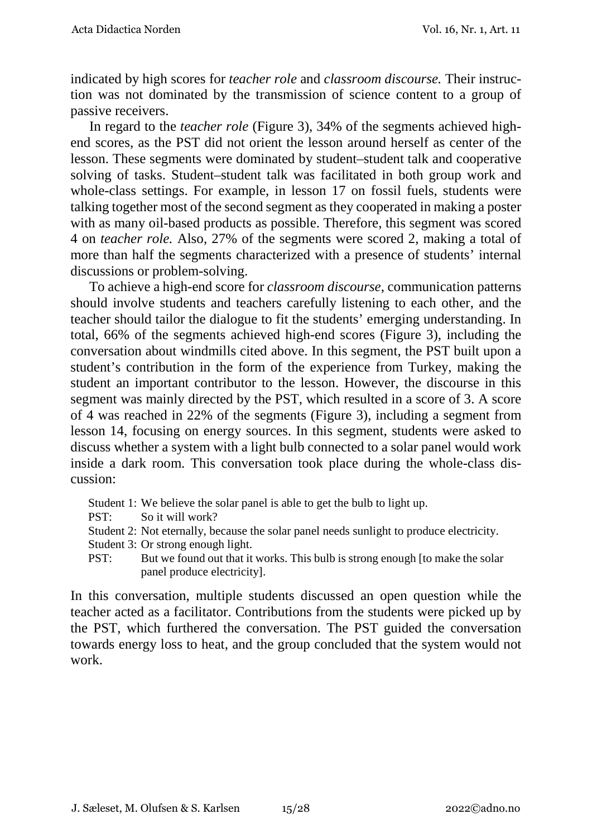indicated by high scores for *teacher role* and *classroom discourse.* Their instruction was not dominated by the transmission of science content to a group of passive receivers.

In regard to the *teacher role* (Figure 3), 34% of the segments achieved highend scores, as the PST did not orient the lesson around herself as center of the lesson. These segments were dominated by student–student talk and cooperative solving of tasks. Student–student talk was facilitated in both group work and whole-class settings. For example, in lesson 17 on fossil fuels, students were talking together most of the second segment as they cooperated in making a poster with as many oil-based products as possible. Therefore, this segment was scored 4 on *teacher role.* Also, 27% of the segments were scored 2, making a total of more than half the segments characterized with a presence of students' internal discussions or problem-solving.

To achieve a high-end score for *classroom discourse*, communication patterns should involve students and teachers carefully listening to each other, and the teacher should tailor the dialogue to fit the students' emerging understanding. In total, 66% of the segments achieved high-end scores (Figure 3), including the conversation about windmills cited above. In this segment, the PST built upon a student's contribution in the form of the experience from Turkey, making the student an important contributor to the lesson. However, the discourse in this segment was mainly directed by the PST, which resulted in a score of 3. A score of 4 was reached in 22% of the segments (Figure 3), including a segment from lesson 14, focusing on energy sources. In this segment, students were asked to discuss whether a system with a light bulb connected to a solar panel would work inside a dark room. This conversation took place during the whole-class discussion:

- Student 1: We believe the solar panel is able to get the bulb to light up.
- PST: So it will work?
- Student 2: Not eternally, because the solar panel needs sunlight to produce electricity.
- Student 3: Or strong enough light.
- PST: But we found out that it works. This bulb is strong enough [to make the solar panel produce electricity].

In this conversation, multiple students discussed an open question while the teacher acted as a facilitator. Contributions from the students were picked up by the PST, which furthered the conversation. The PST guided the conversation towards energy loss to heat, and the group concluded that the system would not work.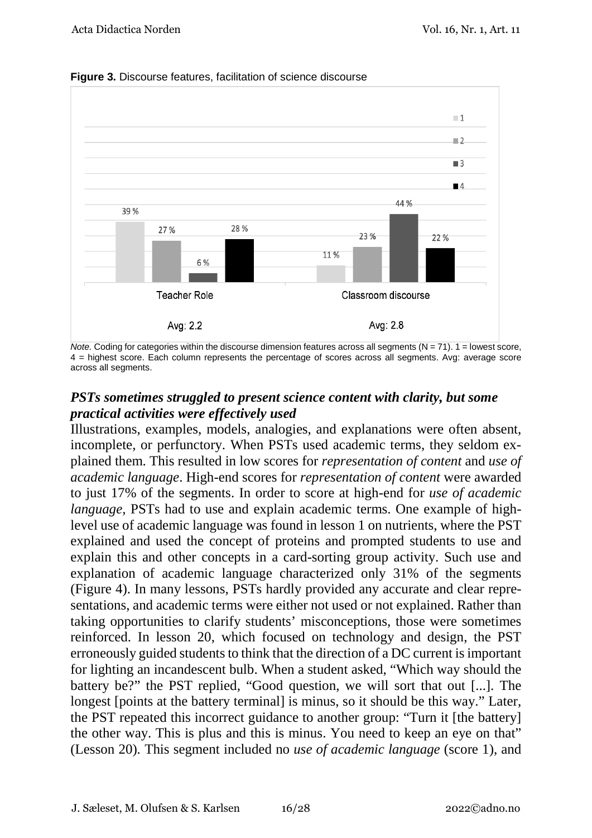

**Figure 3.** Discourse features, facilitation of science discourse

*Note.* Coding for categories within the discourse dimension features across all segments  $(N = 71)$ .  $1 =$  lowest score, 4 = highest score. Each column represents the percentage of scores across all segments. Avg: average score across all segments.

#### *PSTs sometimes struggled to present science content with clarity, but some practical activities were effectively used*

Illustrations, examples, models, analogies, and explanations were often absent, incomplete, or perfunctory. When PSTs used academic terms, they seldom explained them. This resulted in low scores for *representation of content* and *use of academic language*. High-end scores for *representation of content* were awarded to just 17% of the segments. In order to score at high-end for *use of academic language*, PSTs had to use and explain academic terms. One example of highlevel use of academic language was found in lesson 1 on nutrients, where the PST explained and used the concept of proteins and prompted students to use and explain this and other concepts in a card-sorting group activity. Such use and explanation of academic language characterized only 31% of the segments (Figure 4). In many lessons, PSTs hardly provided any accurate and clear representations, and academic terms were either not used or not explained. Rather than taking opportunities to clarify students' misconceptions, those were sometimes reinforced. In lesson 20, which focused on technology and design, the PST erroneously guided students to think that the direction of a DC current is important for lighting an incandescent bulb. When a student asked, "Which way should the battery be?" the PST replied, "Good question, we will sort that out [...]. The longest [points at the battery terminal] is minus, so it should be this way." Later, the PST repeated this incorrect guidance to another group: "Turn it [the battery] the other way. This is plus and this is minus. You need to keep an eye on that" (Lesson 20)*.* This segment included no *use of academic language* (score 1), and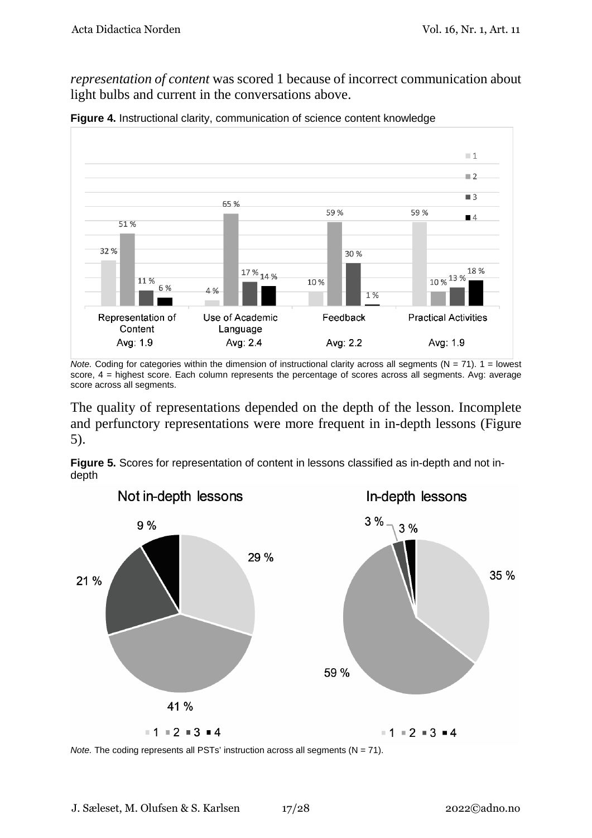*representation of content* was scored 1 because of incorrect communication about light bulbs and current in the conversations above.



**Figure 4.** Instructional clarity, communication of science content knowledge

The quality of representations depended on the depth of the lesson. Incomplete and perfunctory representations were more frequent in in-depth lessons (Figure 5).

**Figure 5.** Scores for representation of content in lessons classified as in-depth and not indepth



*Note.* The coding represents all PSTs' instruction across all segments (N = 71).

*Note.* Coding for categories within the dimension of instructional clarity across all segments ( $N = 71$ ).  $1 =$  lowest score, 4 = highest score. Each column represents the percentage of scores across all segments. Avg: average score across all segments.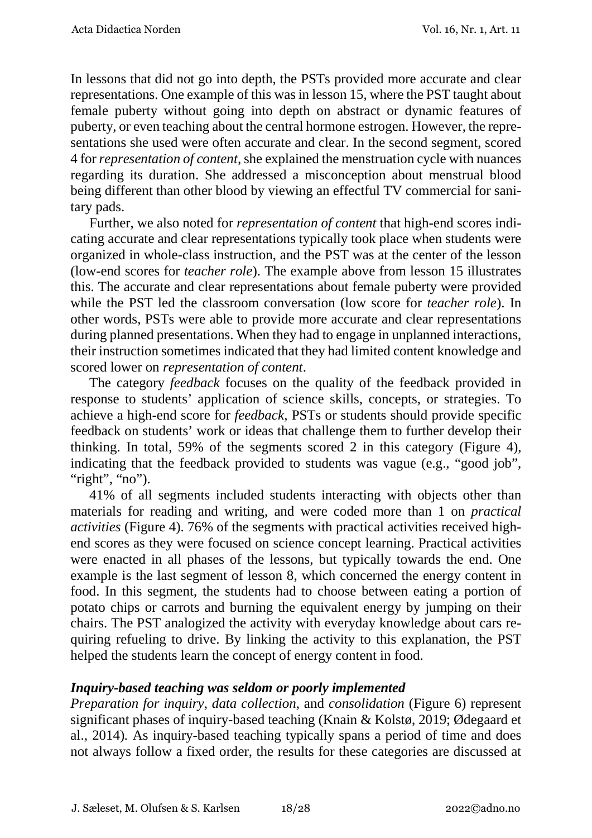In lessons that did not go into depth, the PSTs provided more accurate and clear representations. One example of this was in lesson 15, where the PST taught about female puberty without going into depth on abstract or dynamic features of puberty, or even teaching about the central hormone estrogen. However, the representations she used were often accurate and clear. In the second segment, scored 4 for *representation of content,* she explained the menstruation cycle with nuances regarding its duration. She addressed a misconception about menstrual blood being different than other blood by viewing an effectful TV commercial for sanitary pads.

Further, we also noted for *representation of content* that high-end scores indicating accurate and clear representations typically took place when students were organized in whole-class instruction, and the PST was at the center of the lesson (low-end scores for *teacher role*). The example above from lesson 15 illustrates this. The accurate and clear representations about female puberty were provided while the PST led the classroom conversation (low score for *teacher role*). In other words, PSTs were able to provide more accurate and clear representations during planned presentations. When they had to engage in unplanned interactions, their instruction sometimes indicated that they had limited content knowledge and scored lower on *representation of content*.

The category *feedback* focuses on the quality of the feedback provided in response to students' application of science skills, concepts, or strategies. To achieve a high-end score for *feedback*, PSTs or students should provide specific feedback on students' work or ideas that challenge them to further develop their thinking. In total, 59% of the segments scored 2 in this category (Figure 4), indicating that the feedback provided to students was vague (e.g., "good job", "right", "no").

41% of all segments included students interacting with objects other than materials for reading and writing, and were coded more than 1 on *practical activities* (Figure 4). 76% of the segments with practical activities received highend scores as they were focused on science concept learning. Practical activities were enacted in all phases of the lessons, but typically towards the end. One example is the last segment of lesson 8, which concerned the energy content in food. In this segment, the students had to choose between eating a portion of potato chips or carrots and burning the equivalent energy by jumping on their chairs. The PST analogized the activity with everyday knowledge about cars requiring refueling to drive. By linking the activity to this explanation, the PST helped the students learn the concept of energy content in food.

#### *Inquiry-based teaching was seldom or poorly implemented*

*Preparation for inquiry*, *data collection*, and *consolidation* (Figure 6) represent significant phases of inquiry-based teaching (Knain & Kolstø, 2019; Ødegaard et al., 2014)*.* As inquiry-based teaching typically spans a period of time and does not always follow a fixed order, the results for these categories are discussed at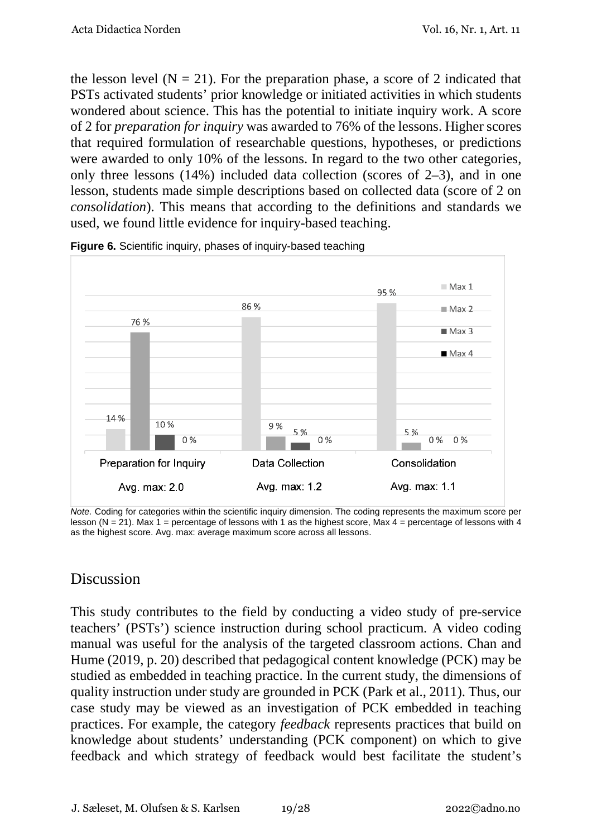the lesson level  $(N = 21)$ . For the preparation phase, a score of 2 indicated that PSTs activated students' prior knowledge or initiated activities in which students wondered about science. This has the potential to initiate inquiry work. A score of 2 for *preparation for inquiry* was awarded to 76% of the lessons. Higher scores that required formulation of researchable questions, hypotheses, or predictions were awarded to only 10% of the lessons. In regard to the two other categories, only three lessons (14%) included data collection (scores of 2–3), and in one lesson, students made simple descriptions based on collected data (score of 2 on *consolidation*). This means that according to the definitions and standards we used, we found little evidence for inquiry-based teaching.



**Figure 6.** Scientific inquiry, phases of inquiry-based teaching

*Note.* Coding for categories within the scientific inquiry dimension. The coding represents the maximum score per lesson (N = 21). Max 1 = percentage of lessons with 1 as the highest score, Max 4 = percentage of lessons with 4 as the highest score. Avg. max: average maximum score across all lessons.

## Discussion

This study contributes to the field by conducting a video study of pre-service teachers' (PSTs') science instruction during school practicum. A video coding manual was useful for the analysis of the targeted classroom actions. Chan and Hume (2019, p. 20) described that pedagogical content knowledge (PCK) may be studied as embedded in teaching practice. In the current study, the dimensions of quality instruction under study are grounded in PCK (Park et al., 2011). Thus, our case study may be viewed as an investigation of PCK embedded in teaching practices. For example, the category *feedback* represents practices that build on knowledge about students' understanding (PCK component) on which to give feedback and which strategy of feedback would best facilitate the student's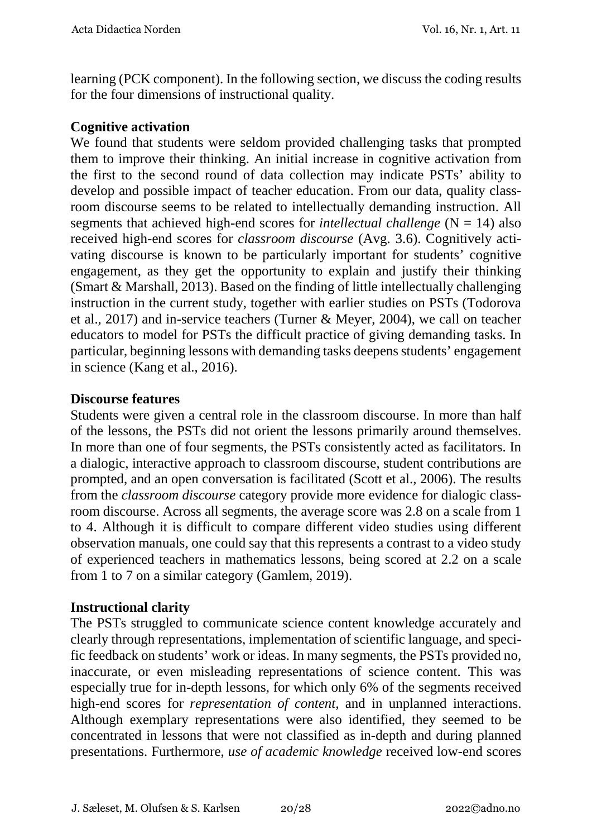learning (PCK component). In the following section, we discuss the coding results for the four dimensions of instructional quality.

#### **Cognitive activation**

We found that students were seldom provided challenging tasks that prompted them to improve their thinking. An initial increase in cognitive activation from the first to the second round of data collection may indicate PSTs' ability to develop and possible impact of teacher education. From our data, quality classroom discourse seems to be related to intellectually demanding instruction. All segments that achieved high-end scores for *intellectual challenge*  $(N = 14)$  also received high-end scores for *classroom discourse* (Avg. 3.6). Cognitively activating discourse is known to be particularly important for students' cognitive engagement, as they get the opportunity to explain and justify their thinking (Smart & Marshall, 2013). Based on the finding of little intellectually challenging instruction in the current study, together with earlier studies on PSTs (Todorova et al., 2017) and in-service teachers (Turner & Meyer, 2004), we call on teacher educators to model for PSTs the difficult practice of giving demanding tasks. In particular, beginning lessons with demanding tasks deepens students' engagement in science (Kang et al., 2016).

#### **Discourse features**

Students were given a central role in the classroom discourse. In more than half of the lessons, the PSTs did not orient the lessons primarily around themselves. In more than one of four segments, the PSTs consistently acted as facilitators. In a dialogic, interactive approach to classroom discourse, student contributions are prompted, and an open conversation is facilitated (Scott et al., 2006). The results from the *classroom discourse* category provide more evidence for dialogic classroom discourse. Across all segments, the average score was 2.8 on a scale from 1 to 4. Although it is difficult to compare different video studies using different observation manuals, one could say that this represents a contrast to a video study of experienced teachers in mathematics lessons, being scored at 2.2 on a scale from 1 to 7 on a similar category (Gamlem, 2019).

#### **Instructional clarity**

The PSTs struggled to communicate science content knowledge accurately and clearly through representations, implementation of scientific language, and specific feedback on students' work or ideas. In many segments, the PSTs provided no, inaccurate, or even misleading representations of science content. This was especially true for in-depth lessons, for which only 6% of the segments received high-end scores for *representation of content,* and in unplanned interactions. Although exemplary representations were also identified, they seemed to be concentrated in lessons that were not classified as in-depth and during planned presentations. Furthermore, *use of academic knowledge* received low-end scores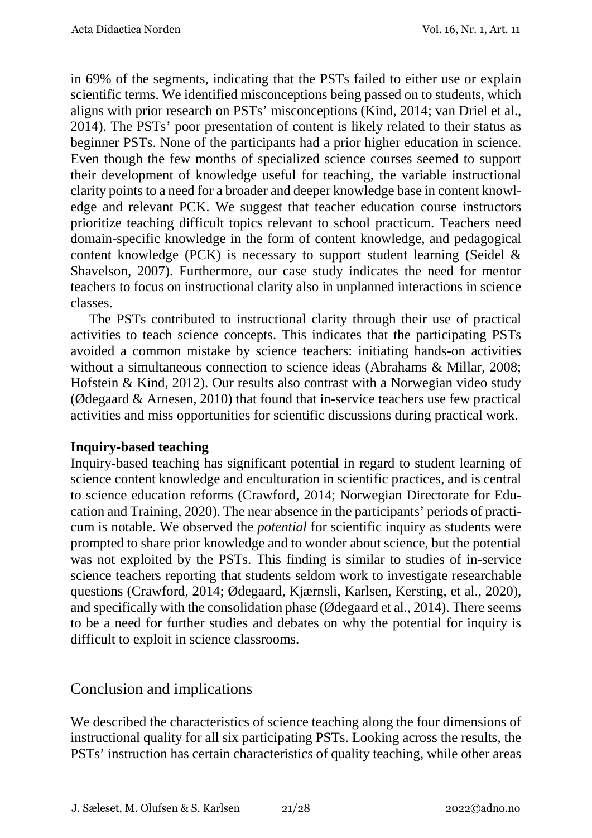in 69% of the segments, indicating that the PSTs failed to either use or explain scientific terms. We identified misconceptions being passed on to students, which aligns with prior research on PSTs' misconceptions (Kind, 2014; van Driel et al., 2014). The PSTs' poor presentation of content is likely related to their status as beginner PSTs. None of the participants had a prior higher education in science. Even though the few months of specialized science courses seemed to support their development of knowledge useful for teaching, the variable instructional clarity points to a need for a broader and deeper knowledge base in content knowledge and relevant PCK. We suggest that teacher education course instructors prioritize teaching difficult topics relevant to school practicum. Teachers need domain-specific knowledge in the form of content knowledge, and pedagogical content knowledge (PCK) is necessary to support student learning (Seidel & Shavelson, 2007). Furthermore, our case study indicates the need for mentor teachers to focus on instructional clarity also in unplanned interactions in science classes.

The PSTs contributed to instructional clarity through their use of practical activities to teach science concepts. This indicates that the participating PSTs avoided a common mistake by science teachers: initiating hands-on activities without a simultaneous connection to science ideas (Abrahams & Millar, 2008; Hofstein & Kind, 2012). Our results also contrast with a Norwegian video study (Ødegaard & Arnesen, 2010) that found that in-service teachers use few practical activities and miss opportunities for scientific discussions during practical work.

#### **Inquiry-based teaching**

Inquiry-based teaching has significant potential in regard to student learning of science content knowledge and enculturation in scientific practices, and is central to science education reforms (Crawford, 2014; Norwegian Directorate for Education and Training, 2020). The near absence in the participants' periods of practicum is notable. We observed the *potential* for scientific inquiry as students were prompted to share prior knowledge and to wonder about science, but the potential was not exploited by the PSTs. This finding is similar to studies of in-service science teachers reporting that students seldom work to investigate researchable questions (Crawford, 2014; Ødegaard, Kjærnsli, Karlsen, Kersting, et al., 2020), and specifically with the consolidation phase (Ødegaard et al., 2014). There seems to be a need for further studies and debates on why the potential for inquiry is difficult to exploit in science classrooms.

## Conclusion and implications

We described the characteristics of science teaching along the four dimensions of instructional quality for all six participating PSTs. Looking across the results, the PSTs' instruction has certain characteristics of quality teaching, while other areas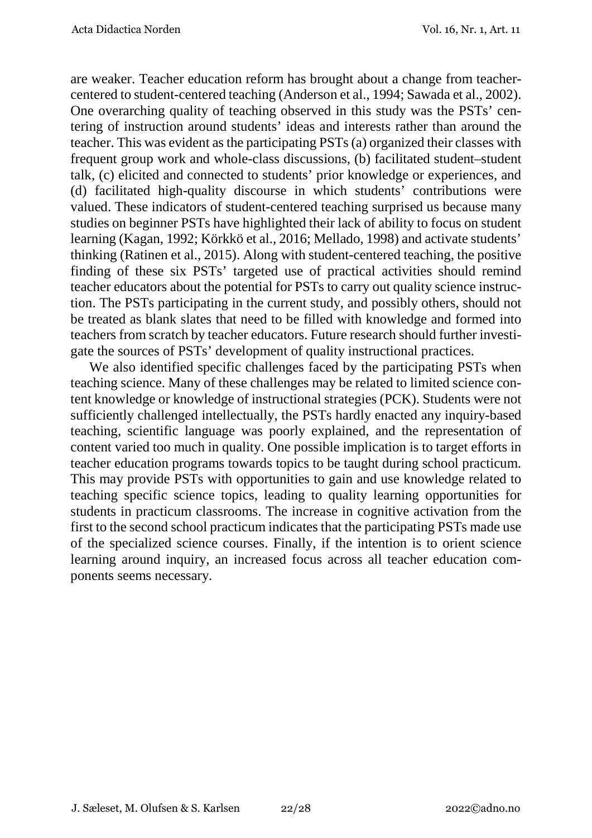are weaker. Teacher education reform has brought about a change from teachercentered to student-centered teaching (Anderson et al., 1994; Sawada et al., 2002). One overarching quality of teaching observed in this study was the PSTs' centering of instruction around students' ideas and interests rather than around the teacher. This was evident as the participating PSTs (a) organized their classes with frequent group work and whole-class discussions, (b) facilitated student–student talk, (c) elicited and connected to students' prior knowledge or experiences, and (d) facilitated high-quality discourse in which students' contributions were valued. These indicators of student-centered teaching surprised us because many studies on beginner PSTs have highlighted their lack of ability to focus on student learning (Kagan, 1992; Körkkö et al., 2016; Mellado, 1998) and activate students' thinking (Ratinen et al., 2015). Along with student-centered teaching, the positive finding of these six PSTs' targeted use of practical activities should remind teacher educators about the potential for PSTs to carry out quality science instruction. The PSTs participating in the current study, and possibly others, should not be treated as blank slates that need to be filled with knowledge and formed into teachers from scratch by teacher educators. Future research should further investigate the sources of PSTs' development of quality instructional practices.

We also identified specific challenges faced by the participating PSTs when teaching science. Many of these challenges may be related to limited science content knowledge or knowledge of instructional strategies (PCK). Students were not sufficiently challenged intellectually, the PSTs hardly enacted any inquiry-based teaching, scientific language was poorly explained, and the representation of content varied too much in quality. One possible implication is to target efforts in teacher education programs towards topics to be taught during school practicum. This may provide PSTs with opportunities to gain and use knowledge related to teaching specific science topics, leading to quality learning opportunities for students in practicum classrooms. The increase in cognitive activation from the first to the second school practicum indicates that the participating PSTs made use of the specialized science courses. Finally, if the intention is to orient science learning around inquiry, an increased focus across all teacher education components seems necessary.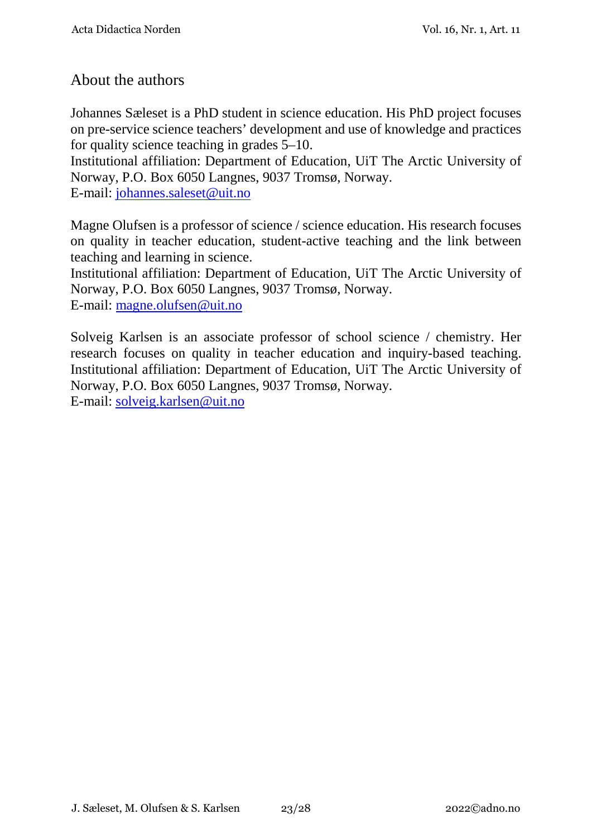## About the authors

Johannes Sæleset is a PhD student in science education. His PhD project focuses on pre-service science teachers' development and use of knowledge and practices for quality science teaching in grades 5–10.

Institutional affiliation: Department of Education, UiT The Arctic University of Norway, P.O. Box 6050 Langnes, 9037 Tromsø, Norway. E-mail: [johannes.saleset@uit.no](mailto:johannes.saleset@uit.no)

Magne Olufsen is a professor of science / science education. His research focuses on quality in teacher education, student-active teaching and the link between teaching and learning in science.

Institutional affiliation: Department of Education, UiT The Arctic University of Norway, P.O. Box 6050 Langnes, 9037 Tromsø, Norway.

E-mail: [magne.olufsen@uit.no](mailto:magne.olufsen@uit.no)

Solveig Karlsen is an associate professor of school science / chemistry. Her research focuses on quality in teacher education and inquiry-based teaching. Institutional affiliation: Department of Education, UiT The Arctic University of Norway, P.O. Box 6050 Langnes, 9037 Tromsø, Norway. E-mail: [solveig.karlsen@uit.no](mailto:solveig.karlsen@uit.no)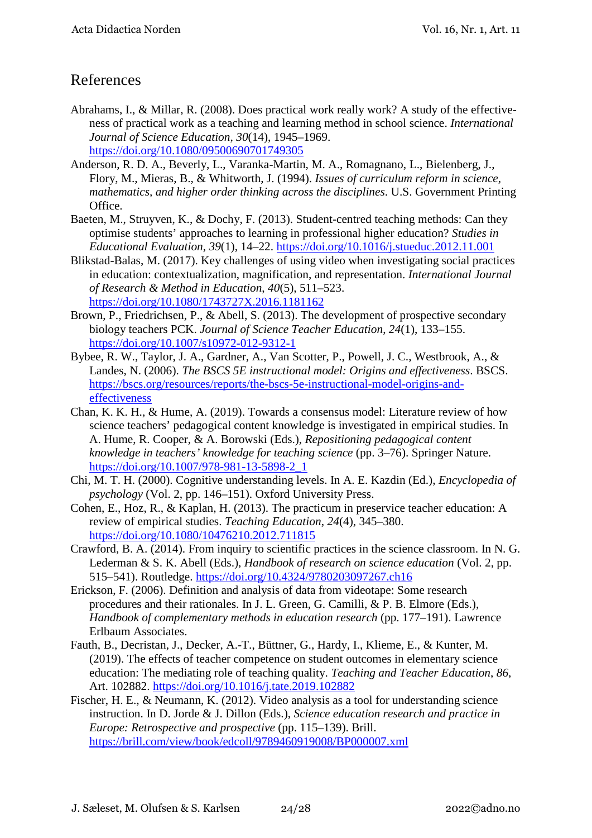## References

- Abrahams, I., & Millar, R. (2008). Does practical work really work? A study of the effectiveness of practical work as a teaching and learning method in school science. *International Journal of Science Education*, *30*(14), 1945–1969. <https://doi.org/10.1080/09500690701749305>
- Anderson, R. D. A., Beverly, L., Varanka-Martin, M. A., Romagnano, L., Bielenberg, J., Flory, M., Mieras, B., & Whitworth, J. (1994). *Issues of curriculum reform in science, mathematics, and higher order thinking across the disciplines*. U.S. Government Printing Office.
- Baeten, M., Struyven, K., & Dochy, F. (2013). Student-centred teaching methods: Can they optimise students' approaches to learning in professional higher education? *Studies in Educational Evaluation*, *39*(1), 14–22.<https://doi.org/10.1016/j.stueduc.2012.11.001>
- Blikstad-Balas, M. (2017). Key challenges of using video when investigating social practices in education: contextualization, magnification, and representation. *International Journal of Research & Method in Education*, *40*(5), 511–523. <https://doi.org/10.1080/1743727X.2016.1181162>
- Brown, P., Friedrichsen, P., & Abell, S. (2013). The development of prospective secondary biology teachers PCK. *Journal of Science Teacher Education*, *24*(1), 133–155. <https://doi.org/10.1007/s10972-012-9312-1>
- Bybee, R. W., Taylor, J. A., Gardner, A., Van Scotter, P., Powell, J. C., Westbrook, A., & Landes, N. (2006). *The BSCS 5E instructional model: Origins and effectiveness*. BSCS. [https://bscs.org/resources/reports/the-bscs-5e-instructional-model-origins-and](https://bscs.org/resources/reports/the-bscs-5e-instructional-model-origins-and-effectiveness)[effectiveness](https://bscs.org/resources/reports/the-bscs-5e-instructional-model-origins-and-effectiveness)
- Chan, K. K. H., & Hume, A. (2019). Towards a consensus model: Literature review of how science teachers' pedagogical content knowledge is investigated in empirical studies. In A. Hume, R. Cooper, & A. Borowski (Eds.), *Repositioning pedagogical content knowledge in teachers' knowledge for teaching science* (pp. 3–76). Springer Nature. [https://doi.org/10.1007/978-981-13-5898-2\\_1](https://doi.org/10.1007/978-981-13-5898-2_1)
- Chi, M. T. H. (2000). Cognitive understanding levels. In A. E. Kazdin (Ed.), *Encyclopedia of psychology* (Vol. 2, pp. 146–151). Oxford University Press.
- Cohen, E., Hoz, R., & Kaplan, H. (2013). The practicum in preservice teacher education: A review of empirical studies. *Teaching Education*, *24*(4), 345–380. <https://doi.org/10.1080/10476210.2012.711815>
- Crawford, B. A. (2014). From inquiry to scientific practices in the science classroom. In N. G. Lederman & S. K. Abell (Eds.), *Handbook of research on science education* (Vol. 2, pp. 515–541). Routledge.<https://doi.org/10.4324/9780203097267.ch16>
- Erickson, F. (2006). Definition and analysis of data from videotape: Some research procedures and their rationales. In J. L. Green, G. Camilli, & P. B. Elmore (Eds.), *Handbook of complementary methods in education research* (pp. 177–191). Lawrence Erlbaum Associates.
- Fauth, B., Decristan, J., Decker, A.-T., Büttner, G., Hardy, I., Klieme, E., & Kunter, M. (2019). The effects of teacher competence on student outcomes in elementary science education: The mediating role of teaching quality. *Teaching and Teacher Education*, *86*, Art. 102882.<https://doi.org/10.1016/j.tate.2019.102882>
- Fischer, H. E., & Neumann, K. (2012). Video analysis as a tool for understanding science instruction. In D. Jorde & J. Dillon (Eds.), *Science education research and practice in Europe: Retrospective and prospective* (pp. 115–139). Brill. <https://brill.com/view/book/edcoll/9789460919008/BP000007.xml>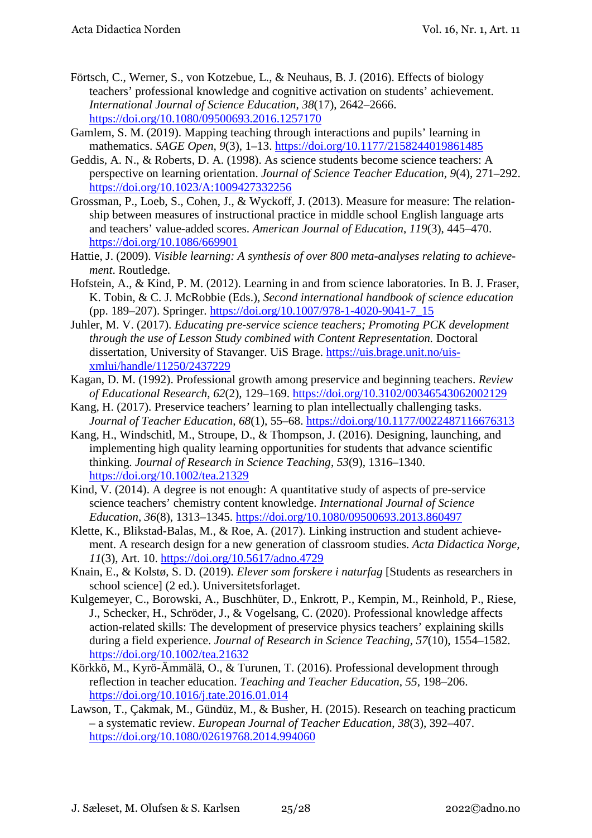- Förtsch, C., Werner, S., von Kotzebue, L., & Neuhaus, B. J. (2016). Effects of biology teachers' professional knowledge and cognitive activation on students' achievement. *International Journal of Science Education*, *38*(17), 2642–2666. <https://doi.org/10.1080/09500693.2016.1257170>
- Gamlem, S. M. (2019). Mapping teaching through interactions and pupils' learning in mathematics. *SAGE Open*, *9*(3), 1–13.<https://doi.org/10.1177/2158244019861485>
- Geddis, A. N., & Roberts, D. A. (1998). As science students become science teachers: A perspective on learning orientation. *Journal of Science Teacher Education*, *9*(4), 271–292. <https://doi.org/10.1023/A:1009427332256>
- Grossman, P., Loeb, S., Cohen, J., & Wyckoff, J. (2013). Measure for measure: The relationship between measures of instructional practice in middle school English language arts and teachers' value-added scores. *American Journal of Education*, *119*(3), 445–470. <https://doi.org/10.1086/669901>
- Hattie, J. (2009). *Visible learning: A synthesis of over 800 meta-analyses relating to achievement*. Routledge.
- Hofstein, A., & Kind, P. M. (2012). Learning in and from science laboratories. In B. J. Fraser, K. Tobin, & C. J. McRobbie (Eds.), *Second international handbook of science education* (pp. 189–207). Springer. [https://doi.org/10.1007/978-1-4020-9041-7\\_15](https://doi.org/10.1007/978-1-4020-9041-7_15)
- Juhler, M. V. (2017). *Educating pre-service science teachers; Promoting PCK development through the use of Lesson Study combined with Content Representation.* Doctoral dissertation, University of Stavanger. UiS Brage. [https://uis.brage.unit.no/uis](https://uis.brage.unit.no/uis-xmlui/handle/11250/2437229)[xmlui/handle/11250/2437229](https://uis.brage.unit.no/uis-xmlui/handle/11250/2437229)
- Kagan, D. M. (1992). Professional growth among preservice and beginning teachers. *Review of Educational Research*, *62*(2), 129–169.<https://doi.org/10.3102/00346543062002129>
- Kang, H. (2017). Preservice teachers' learning to plan intellectually challenging tasks. *Journal of Teacher Education*, *68*(1), 55–68.<https://doi.org/10.1177/0022487116676313>
- Kang, H., Windschitl, M., Stroupe, D., & Thompson, J. (2016). Designing, launching, and implementing high quality learning opportunities for students that advance scientific thinking. *Journal of Research in Science Teaching*, *53*(9), 1316–1340. <https://doi.org/10.1002/tea.21329>
- Kind, V. (2014). A degree is not enough: A quantitative study of aspects of pre-service science teachers' chemistry content knowledge. *International Journal of Science Education*, *36*(8), 1313–1345.<https://doi.org/10.1080/09500693.2013.860497>
- Klette, K., Blikstad-Balas, M., & Roe, A. (2017). Linking instruction and student achievement. A research design for a new generation of classroom studies. *Acta Didactica Norge*, *11*(3), Art. 10.<https://doi.org/10.5617/adno.4729>
- Knain, E., & Kolstø, S. D. (2019). *Elever som forskere i naturfag* [Students as researchers in school science] (2 ed.). Universitetsforlaget.
- Kulgemeyer, C., Borowski, A., Buschhüter, D., Enkrott, P., Kempin, M., Reinhold, P., Riese, J., Schecker, H., Schröder, J., & Vogelsang, C. (2020). Professional knowledge affects action-related skills: The development of preservice physics teachers' explaining skills during a field experience. *Journal of Research in Science Teaching*, *57*(10), 1554–1582. <https://doi.org/10.1002/tea.21632>
- Körkkö, M., Kyrö-Ämmälä, O., & Turunen, T. (2016). Professional development through reflection in teacher education. *Teaching and Teacher Education*, *55*, 198–206. <https://doi.org/10.1016/j.tate.2016.01.014>
- Lawson, T., Çakmak, M., Gündüz, M., & Busher, H. (2015). Research on teaching practicum – a systematic review. *European Journal of Teacher Education*, *38*(3), 392–407. <https://doi.org/10.1080/02619768.2014.994060>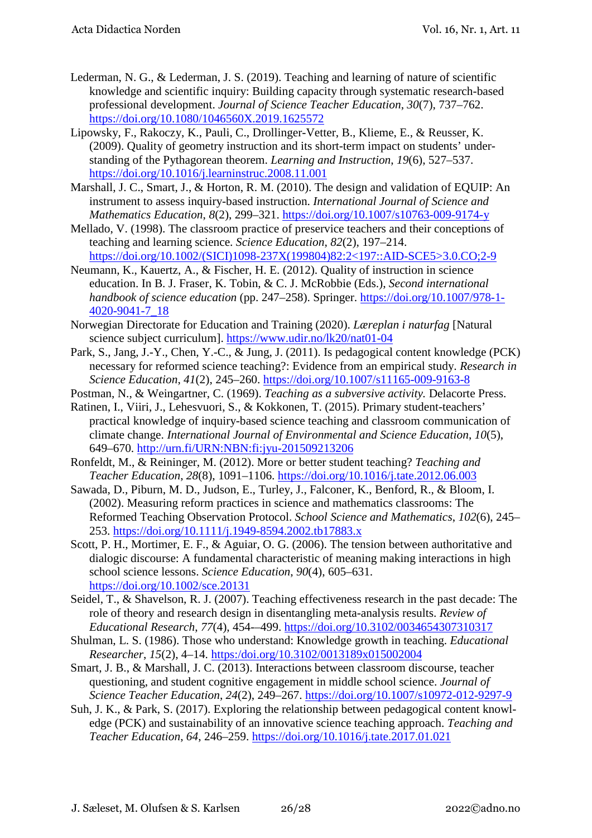- Lederman, N. G., & Lederman, J. S. (2019). Teaching and learning of nature of scientific knowledge and scientific inquiry: Building capacity through systematic research-based professional development. *Journal of Science Teacher Education*, *30*(7), 737–762. <https://doi.org/10.1080/1046560X.2019.1625572>
- Lipowsky, F., Rakoczy, K., Pauli, C., Drollinger-Vetter, B., Klieme, E., & Reusser, K. (2009). Quality of geometry instruction and its short-term impact on students' understanding of the Pythagorean theorem. *Learning and Instruction*, *19*(6), 527–537. <https://doi.org/10.1016/j.learninstruc.2008.11.001>
- Marshall, J. C., Smart, J., & Horton, R. M. (2010). The design and validation of EQUIP: An instrument to assess inquiry-based instruction. *International Journal of Science and Mathematics Education*, *8*(2), 299–321.<https://doi.org/10.1007/s10763-009-9174-y>
- Mellado, V. (1998). The classroom practice of preservice teachers and their conceptions of teaching and learning science. *Science Education*, *82*(2), 197–214. [https://doi.org/10.1002/\(SICI\)1098-237X\(199804\)82:2<197::AID-SCE5>3.0.CO;2-9](https://doi.org/10.1002/(SICI)1098-237X(199804)82:2%3c197::AID-SCE5%3e3.0.CO;2-9)
- Neumann, K., Kauertz, A., & Fischer, H. E. (2012). Quality of instruction in science education. In B. J. Fraser, K. Tobin, & C. J. McRobbie (Eds.), *Second international handbook of science education* (pp. 247–258). Springer. [https://doi.org/10.1007/978-1-](https://doi.org/10.1007/978-1-4020-9041-7_18) [4020-9041-7\\_18](https://doi.org/10.1007/978-1-4020-9041-7_18)
- Norwegian Directorate for Education and Training (2020). *Læreplan i naturfag* [Natural science subject curriculum]. <https://www.udir.no/lk20/nat01-04>
- Park, S., Jang, J.-Y., Chen, Y.-C., & Jung, J. (2011). Is pedagogical content knowledge (PCK) necessary for reformed science teaching?: Evidence from an empirical study. *Research in Science Education*, *41*(2), 245–260.<https://doi.org/10.1007/s11165-009-9163-8>
- Postman, N., & Weingartner, C. (1969). *Teaching as a subversive activity.* Delacorte Press.
- Ratinen, I., Viiri, J., Lehesvuori, S., & Kokkonen, T. (2015). Primary student-teachers' practical knowledge of inquiry-based science teaching and classroom communication of climate change. *International Journal of Environmental and Science Education*, *10*(5), 649–670.<http://urn.fi/URN:NBN:fi:jyu-201509213206>
- Ronfeldt, M., & Reininger, M. (2012). More or better student teaching? *Teaching and Teacher Education*, *28*(8), 1091–1106.<https://doi.org/10.1016/j.tate.2012.06.003>
- Sawada, D., Piburn, M. D., Judson, E., Turley, J., Falconer, K., Benford, R., & Bloom, I. (2002). Measuring reform practices in science and mathematics classrooms: The Reformed Teaching Observation Protocol. *School Science and Mathematics*, *102*(6), 245– 253.<https://doi.org/10.1111/j.1949-8594.2002.tb17883.x>
- Scott, P. H., Mortimer, E. F., & Aguiar, O. G. (2006). The tension between authoritative and dialogic discourse: A fundamental characteristic of meaning making interactions in high school science lessons. *Science Education*, *90*(4), 605–631. <https://doi.org/10.1002/sce.20131>
- Seidel, T., & Shavelson, R. J. (2007). Teaching effectiveness research in the past decade: The role of theory and research design in disentangling meta-analysis results. *Review of Educational Research*, *77*(4), 454-–499.<https://doi.org/10.3102/0034654307310317>
- Shulman, L. S. (1986). Those who understand: Knowledge growth in teaching. *Educational Researcher*, *15*(2), 4–14. [https:/doi.org/10.3102/0013189x015002004](https://www.doi.org/10.3102/0013189x015002004)
- Smart, J. B., & Marshall, J. C. (2013). Interactions between classroom discourse, teacher questioning, and student cognitive engagement in middle school science. *Journal of Science Teacher Education*, *24*(2), 249–267.<https://doi.org/10.1007/s10972-012-9297-9>
- Suh, J. K., & Park, S. (2017). Exploring the relationship between pedagogical content knowledge (PCK) and sustainability of an innovative science teaching approach. *Teaching and Teacher Education*, *64*, 246–259.<https://doi.org/10.1016/j.tate.2017.01.021>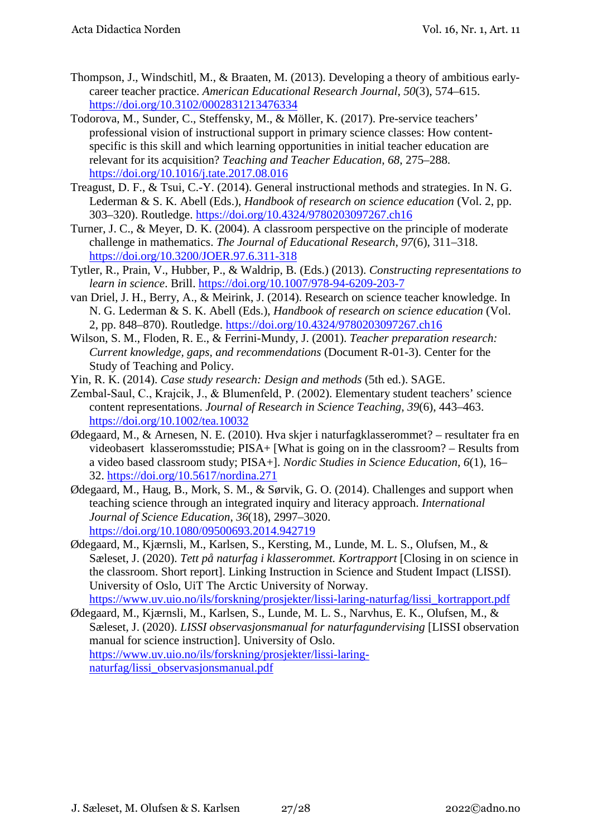- Thompson, J., Windschitl, M., & Braaten, M. (2013). Developing a theory of ambitious earlycareer teacher practice. *American Educational Research Journal*, *50*(3), 574–615. <https://doi.org/10.3102/0002831213476334>
- Todorova, M., Sunder, C., Steffensky, M., & Möller, K. (2017). Pre-service teachers' professional vision of instructional support in primary science classes: How contentspecific is this skill and which learning opportunities in initial teacher education are relevant for its acquisition? *Teaching and Teacher Education*, *68*, 275–288. <https://doi.org/10.1016/j.tate.2017.08.016>
- Treagust, D. F., & Tsui, C.-Y. (2014). General instructional methods and strategies. In N. G. Lederman & S. K. Abell (Eds.), *Handbook of research on science education* (Vol. 2, pp. 303–320). Routledge.<https://doi.org/10.4324/9780203097267.ch16>
- Turner, J. C., & Meyer, D. K. (2004). A classroom perspective on the principle of moderate challenge in mathematics. *The Journal of Educational Research*, *97*(6), 311–318. <https://doi.org/10.3200/JOER.97.6.311-318>
- Tytler, R., Prain, V., Hubber, P., & Waldrip, B. (Eds.) (2013). *Constructing representations to learn in science*. Brill.<https://doi.org/10.1007/978-94-6209-203-7>
- van Driel, J. H., Berry, A., & Meirink, J. (2014). Research on science teacher knowledge. In N. G. Lederman & S. K. Abell (Eds.), *Handbook of research on science education* (Vol. 2, pp. 848–870). Routledge.<https://doi.org/10.4324/9780203097267.ch16>
- Wilson, S. M., Floden, R. E., & Ferrini-Mundy, J. (2001). *Teacher preparation research: Current knowledge, gaps, and recommendations* (Document R-01-3). Center for the Study of Teaching and Policy.
- Yin, R. K. (2014). *Case study research: Design and methods* (5th ed.). SAGE.
- Zembal-Saul, C., Krajcik, J., & Blumenfeld, P. (2002). Elementary student teachers' science content representations. *Journal of Research in Science Teaching*, *39*(6), 443–463. <https://doi.org/10.1002/tea.10032>
- Ødegaard, M., & Arnesen, N. E. (2010). Hva skjer i naturfagklasserommet? resultater fra en videobasert klasseromsstudie; PISA+ [What is going on in the classroom? – Results from a video based classroom study; PISA+]. *Nordic Studies in Science Education*, *6*(1), 16– 32.<https://doi.org/10.5617/nordina.271>
- Ødegaard, M., Haug, B., Mork, S. M., & Sørvik, G. O. (2014). Challenges and support when teaching science through an integrated inquiry and literacy approach. *International Journal of Science Education*, *36*(18), 2997–3020. <https://doi.org/10.1080/09500693.2014.942719>
- Ødegaard, M., Kjærnsli, M., Karlsen, S., Kersting, M., Lunde, M. L. S., Olufsen, M., & Sæleset, J. (2020). *Tett på naturfag i klasserommet. Kortrapport* [Closing in on science in the classroom. Short report]. Linking Instruction in Science and Student Impact (LISSI). University of Oslo, UiT The Arctic University of Norway. [https://www.uv.uio.no/ils/forskning/prosjekter/lissi-laring-naturfag/lissi\\_kortrapport.pdf](https://www.uv.uio.no/ils/forskning/prosjekter/lissi-laring-naturfag/lissi_kortrapport.pdf)
- Ødegaard, M., Kjærnsli, M., Karlsen, S., Lunde, M. L. S., Narvhus, E. K., Olufsen, M., & Sæleset, J. (2020). *LISSI observasjonsmanual for naturfagundervising* [LISSI observation manual for science instruction]. University of Oslo. [https://www.uv.uio.no/ils/forskning/prosjekter/lissi-laring](https://www.uv.uio.no/ils/forskning/prosjekter/lissi-laring-naturfag/lissi_observasjonsmanual.pdf)[naturfag/lissi\\_observasjonsmanual.pdf](https://www.uv.uio.no/ils/forskning/prosjekter/lissi-laring-naturfag/lissi_observasjonsmanual.pdf)